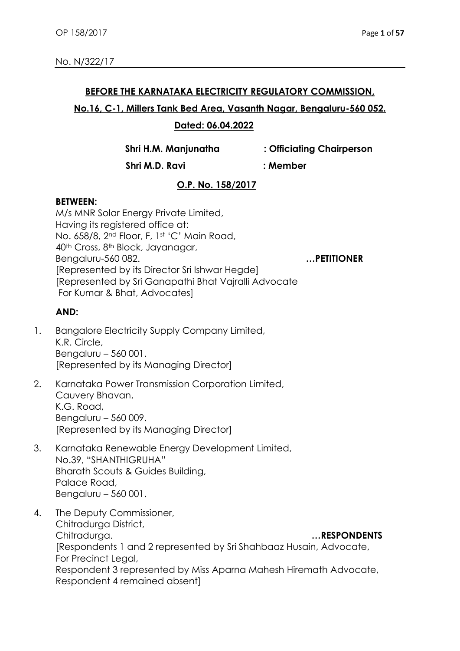### **BEFORE THE KARNATAKA ELECTRICITY REGULATORY COMMISSION,**

### **No.16, C-1, Millers Tank Bed Area, Vasanth Nagar, Bengaluru-560 052.**

### **Dated: 06.04.2022**

**Shri H.M. Manjunatha : Officiating Chairperson**

 **Shri M.D. Ravi : Member**

# **O.P. No. 158/2017**

### **BETWEEN:**

M/s MNR Solar Energy Private Limited, Having its registered office at: No. 658/8, 2nd Floor, F, 1st 'C' Main Road, 40th Cross, 8th Block, Jayanagar, Bengaluru-560 082. **…PETITIONER** [Represented by its Director Sri Ishwar Hegde] [Represented by Sri Ganapathi Bhat Vajralli Advocate For Kumar & Bhat, Advocates]

## **AND:**

- 1. Bangalore Electricity Supply Company Limited, K.R. Circle, Bengaluru – 560 001. [Represented by its Managing Director]
- 2. Karnataka Power Transmission Corporation Limited, Cauvery Bhavan, K.G. Road, Bengaluru – 560 009. [Represented by its Managing Director]
- 3. Karnataka Renewable Energy Development Limited, No.39, "SHANTHIGRUHA" Bharath Scouts & Guides Building, Palace Road, Bengaluru – 560 001.
- 4. The Deputy Commissioner, Chitradurga District, Chitradurga. **…RESPONDENTS** [Respondents 1 and 2 represented by Sri Shahbaaz Husain, Advocate, For Precinct Legal, Respondent 3 represented by Miss Aparna Mahesh Hiremath Advocate, Respondent 4 remained absent]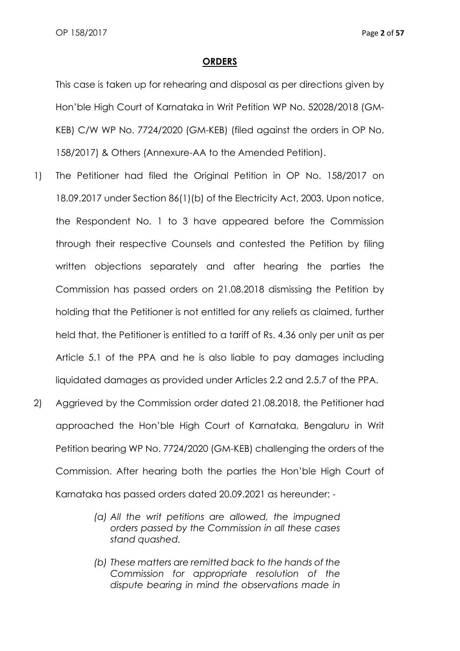#### **ORDERS**

This case is taken up for rehearing and disposal as per directions given by Hon'ble High Court of Karnataka in Writ Petition WP No. 52028/2018 (GM-KEB) C/W WP No. 7724/2020 (GM-KEB) (filed against the orders in OP No. 158/2017) & Others (Annexure-AA to the Amended Petition).

- 1) The Petitioner had filed the Original Petition in OP No. 158/2017 on 18.09.2017 under Section 86(1)(b) of the Electricity Act, 2003. Upon notice, the Respondent No. 1 to 3 have appeared before the Commission through their respective Counsels and contested the Petition by filing written objections separately and after hearing the parties the Commission has passed orders on 21.08.2018 dismissing the Petition by holding that the Petitioner is not entitled for any reliefs as claimed, further held that, the Petitioner is entitled to a tariff of Rs. 4.36 only per unit as per Article 5.1 of the PPA and he is also liable to pay damages including liquidated damages as provided under Articles 2.2 and 2.5.7 of the PPA.
- 2) Aggrieved by the Commission order dated 21.08.2018, the Petitioner had approached the Hon'ble High Court of Karnataka, Bengaluru in Writ Petition bearing WP No. 7724/2020 (GM-KEB) challenging the orders of the Commission. After hearing both the parties the Hon'ble High Court of Karnataka has passed orders dated 20.09.2021 as hereunder: -
	- *(a) All the writ petitions are allowed, the impugned orders passed by the Commission in all these cases stand quashed.*
	- *(b) These matters are remitted back to the hands of the Commission for appropriate resolution of the dispute bearing in mind the observations made in*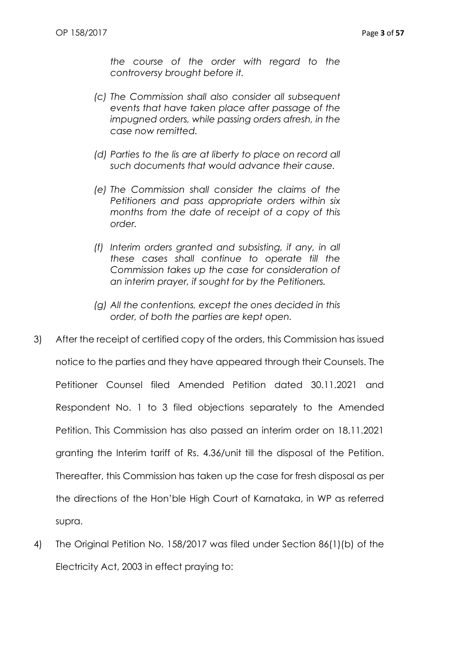*the course of the order with regard to the controversy brought before it.*

- *(c) The Commission shall also consider all subsequent events that have taken place after passage of the impugned orders, while passing orders afresh, in the case now remitted.*
- *(d) Parties to the lis are at liberty to place on record all such documents that would advance their cause.*
- *(e) The Commission shall consider the claims of the Petitioners and pass appropriate orders within six months from the date of receipt of a copy of this order.*
- *(f) Interim orders granted and subsisting, if any, in all these cases shall continue to operate till the Commission takes up the case for consideration of an interim prayer, if sought for by the Petitioners.*
- *(g) All the contentions, except the ones decided in this order, of both the parties are kept open.*
- 3) After the receipt of certified copy of the orders, this Commission has issued notice to the parties and they have appeared through their Counsels. The Petitioner Counsel filed Amended Petition dated 30.11.2021 and Respondent No. 1 to 3 filed objections separately to the Amended Petition. This Commission has also passed an interim order on 18.11.2021 granting the Interim tariff of Rs. 4.36/unit till the disposal of the Petition. Thereafter, this Commission has taken up the case for fresh disposal as per the directions of the Hon'ble High Court of Karnataka, in WP as referred supra.
- 4) The Original Petition No. 158/2017 was filed under Section 86(1)(b) of the Electricity Act, 2003 in effect praying to: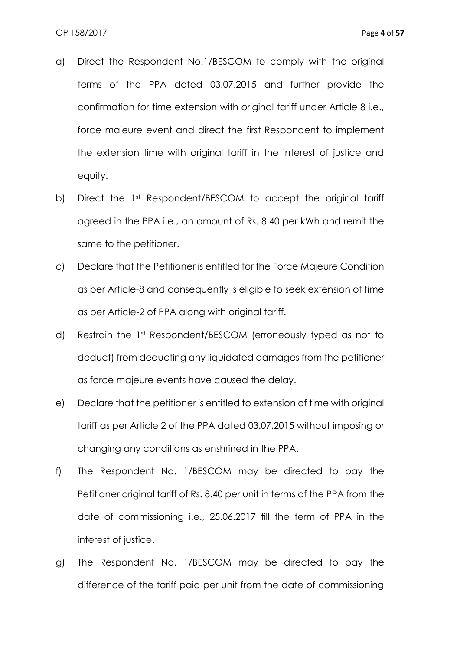- a) Direct the Respondent No.1/BESCOM to comply with the original terms of the PPA dated 03.07.2015 and further provide the confirmation for time extension with original tariff under Article 8 i.e., force majeure event and direct the first Respondent to implement the extension time with original tariff in the interest of justice and equity.
- b) Direct the 1st Respondent/BESCOM to accept the original tariff agreed in the PPA i.e., an amount of Rs. 8.40 per kWh and remit the same to the petitioner.
- c) Declare that the Petitioner is entitled for the Force Majeure Condition as per Article-8 and consequently is eligible to seek extension of time as per Article-2 of PPA along with original tariff.
- d) Restrain the 1st Respondent/BESCOM (erroneously typed as not to deduct) from deducting any liquidated damages from the petitioner as force majeure events have caused the delay.
- e) Declare that the petitioner is entitled to extension of time with original tariff as per Article 2 of the PPA dated 03.07.2015 without imposing or changing any conditions as enshrined in the PPA.
- f) The Respondent No. 1/BESCOM may be directed to pay the Petitioner original tariff of Rs. 8.40 per unit in terms of the PPA from the date of commissioning i.e., 25.06.2017 till the term of PPA in the interest of justice.
- g) The Respondent No. 1/BESCOM may be directed to pay the difference of the tariff paid per unit from the date of commissioning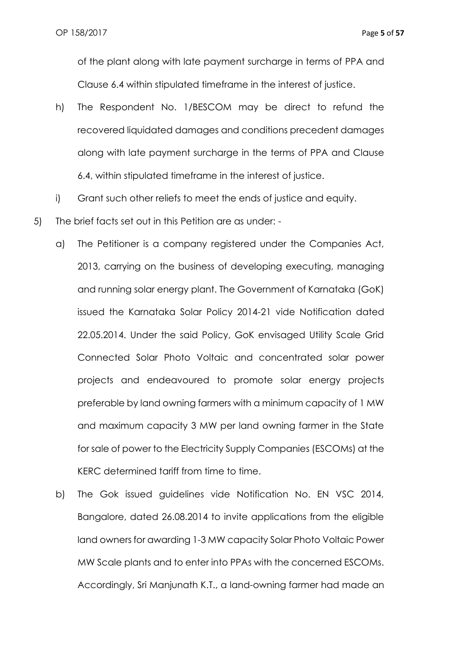of the plant along with late payment surcharge in terms of PPA and Clause 6.4 within stipulated timeframe in the interest of justice.

- h) The Respondent No. 1/BESCOM may be direct to refund the recovered liquidated damages and conditions precedent damages along with late payment surcharge in the terms of PPA and Clause 6.4, within stipulated timeframe in the interest of justice.
- i) Grant such other reliefs to meet the ends of justice and equity.
- 5) The brief facts set out in this Petition are as under:
	- a) The Petitioner is a company registered under the Companies Act, 2013, carrying on the business of developing executing, managing and running solar energy plant. The Government of Karnataka (GoK) issued the Karnataka Solar Policy 2014-21 vide Notification dated 22.05.2014. Under the said Policy, GoK envisaged Utility Scale Grid Connected Solar Photo Voltaic and concentrated solar power projects and endeavoured to promote solar energy projects preferable by land owning farmers with a minimum capacity of 1 MW and maximum capacity 3 MW per land owning farmer in the State for sale of power to the Electricity Supply Companies (ESCOMs) at the KERC determined tariff from time to time.
	- b) The Gok issued guidelines vide Notification No. EN VSC 2014, Bangalore, dated 26.08.2014 to invite applications from the eligible land owners for awarding 1-3 MW capacity Solar Photo Voltaic Power MW Scale plants and to enter into PPAs with the concerned ESCOMs. Accordingly, Sri Manjunath K.T., a land-owning farmer had made an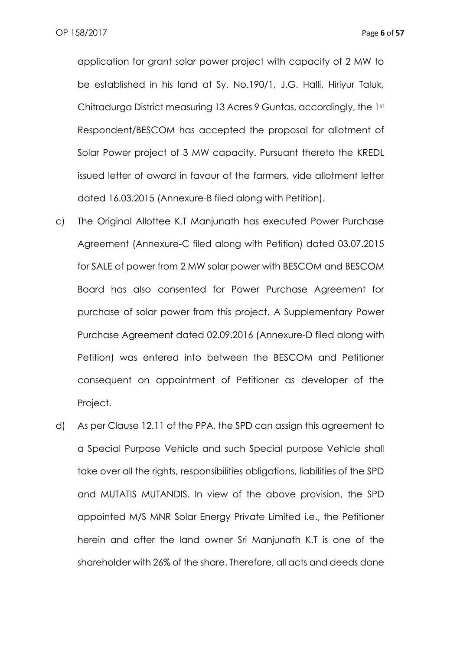application for grant solar power project with capacity of 2 MW to be established in his land at Sy. No.190/1, J.G. Halli, Hiriyur Taluk, Chitradurga District measuring 13 Acres 9 Guntas, accordingly, the 1st Respondent/BESCOM has accepted the proposal for allotment of Solar Power project of 3 MW capacity. Pursuant thereto the KREDL issued letter of award in favour of the farmers, vide allotment letter dated 16.03.2015 (Annexure-B filed along with Petition).

- c) The Original Allottee K.T Manjunath has executed Power Purchase Agreement (Annexure-C filed along with Petition) dated 03.07.2015 for SALE of power from 2 MW solar power with BESCOM and BESCOM Board has also consented for Power Purchase Agreement for purchase of solar power from this project. A Supplementary Power Purchase Agreement dated 02.09.2016 (Annexure-D filed along with Petition) was entered into between the BESCOM and Petitioner consequent on appointment of Petitioner as developer of the Project.
- d) As per Clause 12.11 of the PPA, the SPD can assign this agreement to a Special Purpose Vehicle and such Special purpose Vehicle shall take over all the rights, responsibilities obligations, liabilities of the SPD and MUTATIS MUTANDIS. In view of the above provision, the SPD appointed M/S MNR Solar Energy Private Limited i.e., the Petitioner herein and after the land owner Sri Manjunath K.T is one of the shareholder with 26% of the share. Therefore, all acts and deeds done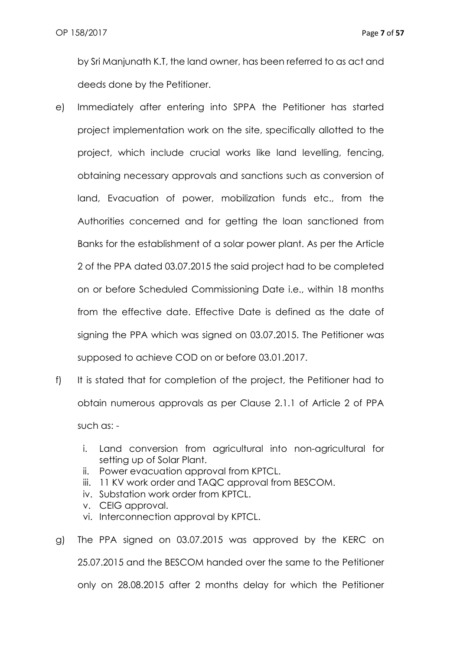by Sri Manjunath K.T, the land owner, has been referred to as act and deeds done by the Petitioner.

- e) Immediately after entering into SPPA the Petitioner has started project implementation work on the site, specifically allotted to the project, which include crucial works like land levelling, fencing, obtaining necessary approvals and sanctions such as conversion of land, Evacuation of power, mobilization funds etc., from the Authorities concerned and for getting the loan sanctioned from Banks for the establishment of a solar power plant. As per the Article 2 of the PPA dated 03.07.2015 the said project had to be completed on or before Scheduled Commissioning Date i.e., within 18 months from the effective date. Effective Date is defined as the date of signing the PPA which was signed on 03.07.2015. The Petitioner was supposed to achieve COD on or before 03.01.2017.
- f) It is stated that for completion of the project, the Petitioner had to obtain numerous approvals as per Clause 2.1.1 of Article 2 of PPA such as:
	- i. Land conversion from agricultural into non-agricultural for setting up of Solar Plant.
	- ii. Power evacuation approval from KPTCL.
	- iii. 11 KV work order and TAQC approval from BESCOM.
	- iv. Substation work order from KPTCL.
	- v. CEIG approval.
	- vi. Interconnection approval by KPTCL.
- g) The PPA signed on 03.07.2015 was approved by the KERC on 25.07.2015 and the BESCOM handed over the same to the Petitioner only on 28.08.2015 after 2 months delay for which the Petitioner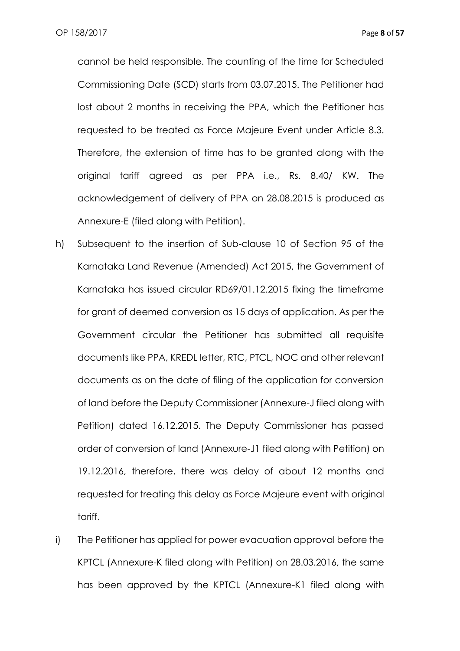cannot be held responsible. The counting of the time for Scheduled Commissioning Date (SCD) starts from 03.07.2015. The Petitioner had lost about 2 months in receiving the PPA, which the Petitioner has requested to be treated as Force Majeure Event under Article 8.3. Therefore, the extension of time has to be granted along with the original tariff agreed as per PPA i.e., Rs. 8.40/ KW. The acknowledgement of delivery of PPA on 28.08.2015 is produced as Annexure-E (filed along with Petition).

- h) Subsequent to the insertion of Sub-clause 10 of Section 95 of the Karnataka Land Revenue (Amended) Act 2015, the Government of Karnataka has issued circular RD69/01.12.2015 fixing the timeframe for grant of deemed conversion as 15 days of application. As per the Government circular the Petitioner has submitted all requisite documents like PPA, KREDL letter, RTC, PTCL, NOC and other relevant documents as on the date of filing of the application for conversion of land before the Deputy Commissioner (Annexure-J filed along with Petition) dated 16.12.2015. The Deputy Commissioner has passed order of conversion of land (Annexure-J1 filed along with Petition) on 19.12.2016, therefore, there was delay of about 12 months and requested for treating this delay as Force Majeure event with original tariff.
- i) The Petitioner has applied for power evacuation approval before the KPTCL (Annexure-K filed along with Petition) on 28.03.2016, the same has been approved by the KPTCL (Annexure-K1 filed along with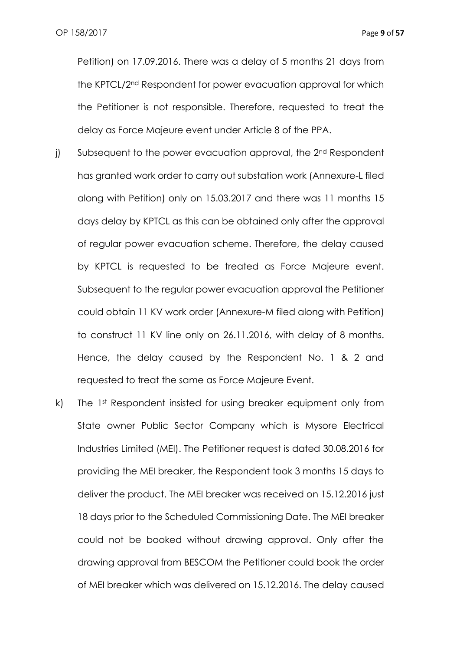Petition) on 17.09.2016. There was a delay of 5 months 21 days from the KPTCL/2nd Respondent for power evacuation approval for which the Petitioner is not responsible. Therefore, requested to treat the delay as Force Majeure event under Article 8 of the PPA.

- j) Subsequent to the power evacuation approval, the 2<sup>nd</sup> Respondent has granted work order to carry out substation work (Annexure-L filed along with Petition) only on 15.03.2017 and there was 11 months 15 days delay by KPTCL as this can be obtained only after the approval of regular power evacuation scheme. Therefore, the delay caused by KPTCL is requested to be treated as Force Majeure event. Subsequent to the regular power evacuation approval the Petitioner could obtain 11 KV work order (Annexure-M filed along with Petition) to construct 11 KV line only on 26.11.2016, with delay of 8 months. Hence, the delay caused by the Respondent No. 1 & 2 and requested to treat the same as Force Majeure Event.
- k) The 1st Respondent insisted for using breaker equipment only from State owner Public Sector Company which is Mysore Electrical Industries Limited (MEI). The Petitioner request is dated 30.08.2016 for providing the MEI breaker, the Respondent took 3 months 15 days to deliver the product. The MEI breaker was received on 15.12.2016 just 18 days prior to the Scheduled Commissioning Date. The MEI breaker could not be booked without drawing approval. Only after the drawing approval from BESCOM the Petitioner could book the order of MEI breaker which was delivered on 15.12.2016. The delay caused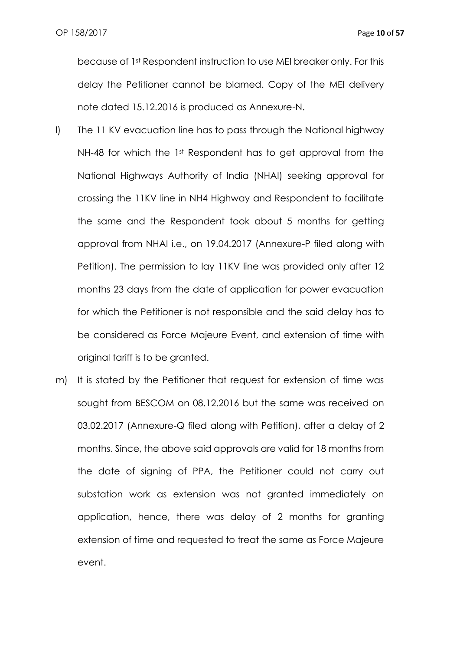because of 1st Respondent instruction to use MEI breaker only. For this delay the Petitioner cannot be blamed. Copy of the MEI delivery note dated 15.12.2016 is produced as Annexure-N.

- l) The 11 KV evacuation line has to pass through the National highway NH-48 for which the 1st Respondent has to get approval from the National Highways Authority of India (NHAI) seeking approval for crossing the 11KV line in NH4 Highway and Respondent to facilitate the same and the Respondent took about 5 months for getting approval from NHAI i.e., on 19.04.2017 (Annexure-P filed along with Petition). The permission to lay 11KV line was provided only after 12 months 23 days from the date of application for power evacuation for which the Petitioner is not responsible and the said delay has to be considered as Force Majeure Event, and extension of time with original tariff is to be granted.
- m) It is stated by the Petitioner that request for extension of time was sought from BESCOM on 08.12.2016 but the same was received on 03.02.2017 (Annexure-Q filed along with Petition), after a delay of 2 months. Since, the above said approvals are valid for 18 months from the date of signing of PPA, the Petitioner could not carry out substation work as extension was not granted immediately on application, hence, there was delay of 2 months for granting extension of time and requested to treat the same as Force Majeure event.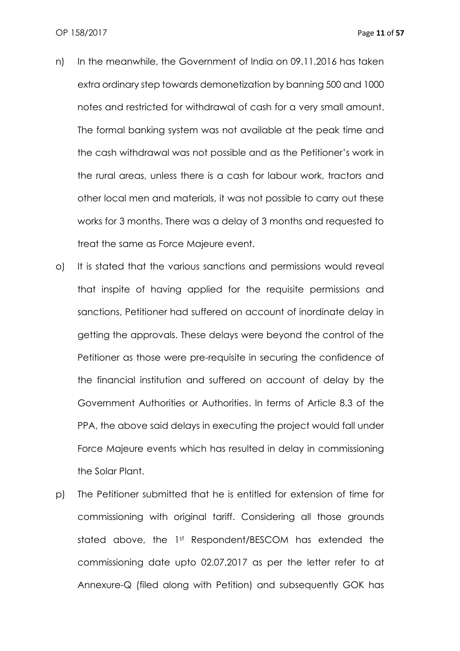- n) In the meanwhile, the Government of India on 09.11.2016 has taken extra ordinary step towards demonetization by banning 500 and 1000 notes and restricted for withdrawal of cash for a very small amount. The formal banking system was not available at the peak time and the cash withdrawal was not possible and as the Petitioner's work in the rural areas, unless there is a cash for labour work, tractors and other local men and materials, it was not possible to carry out these works for 3 months. There was a delay of 3 months and requested to treat the same as Force Majeure event.
- o) It is stated that the various sanctions and permissions would reveal that inspite of having applied for the requisite permissions and sanctions, Petitioner had suffered on account of inordinate delay in getting the approvals. These delays were beyond the control of the Petitioner as those were pre-requisite in securing the confidence of the financial institution and suffered on account of delay by the Government Authorities or Authorities. In terms of Article 8.3 of the PPA, the above said delays in executing the project would fall under Force Majeure events which has resulted in delay in commissioning the Solar Plant.
- p) The Petitioner submitted that he is entitled for extension of time for commissioning with original tariff. Considering all those grounds stated above, the 1st Respondent/BESCOM has extended the commissioning date upto 02.07.2017 as per the letter refer to at Annexure-Q (filed along with Petition) and subsequently GOK has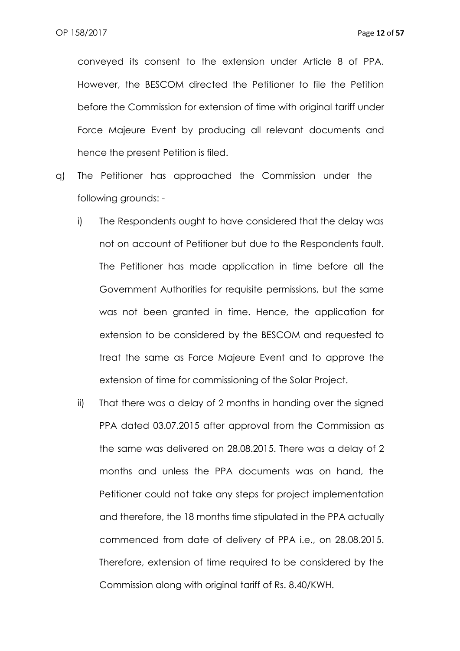conveyed its consent to the extension under Article 8 of PPA. However, the BESCOM directed the Petitioner to file the Petition before the Commission for extension of time with original tariff under Force Majeure Event by producing all relevant documents and hence the present Petition is filed.

- q) The Petitioner has approached the Commission under the following grounds:
	- i) The Respondents ought to have considered that the delay was not on account of Petitioner but due to the Respondents fault. The Petitioner has made application in time before all the Government Authorities for requisite permissions, but the same was not been granted in time. Hence, the application for extension to be considered by the BESCOM and requested to treat the same as Force Majeure Event and to approve the extension of time for commissioning of the Solar Project.
	- ii) That there was a delay of 2 months in handing over the signed PPA dated 03.07.2015 after approval from the Commission as the same was delivered on 28.08.2015. There was a delay of 2 months and unless the PPA documents was on hand, the Petitioner could not take any steps for project implementation and therefore, the 18 months time stipulated in the PPA actually commenced from date of delivery of PPA i.e., on 28.08.2015. Therefore, extension of time required to be considered by the Commission along with original tariff of Rs. 8.40/KWH.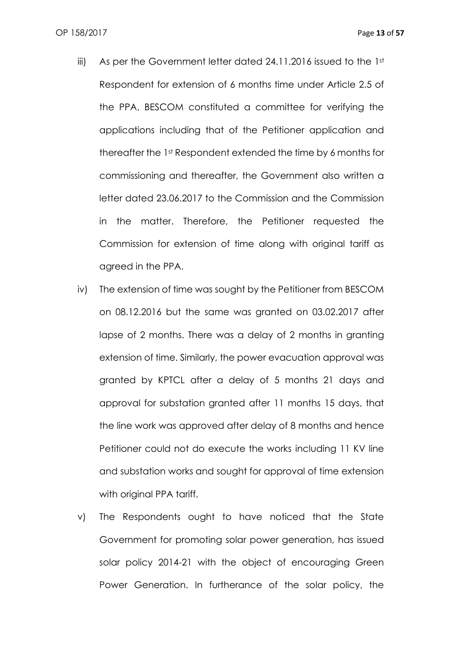- iii) As per the Government letter dated 24.11.2016 issued to the 1st Respondent for extension of 6 months time under Article 2.5 of the PPA, BESCOM constituted a committee for verifying the applications including that of the Petitioner application and thereafter the 1st Respondent extended the time by 6 months for commissioning and thereafter, the Government also written a letter dated 23.06.2017 to the Commission and the Commission in the matter. Therefore, the Petitioner requested the Commission for extension of time along with original tariff as agreed in the PPA.
- iv) The extension of time was sought by the Petitioner from BESCOM on 08.12.2016 but the same was granted on 03.02.2017 after lapse of 2 months. There was a delay of 2 months in granting extension of time. Similarly, the power evacuation approval was granted by KPTCL after a delay of 5 months 21 days and approval for substation granted after 11 months 15 days, that the line work was approved after delay of 8 months and hence Petitioner could not do execute the works including 11 KV line and substation works and sought for approval of time extension with original PPA tariff.
- v) The Respondents ought to have noticed that the State Government for promoting solar power generation, has issued solar policy 2014-21 with the object of encouraging Green Power Generation. In furtherance of the solar policy, the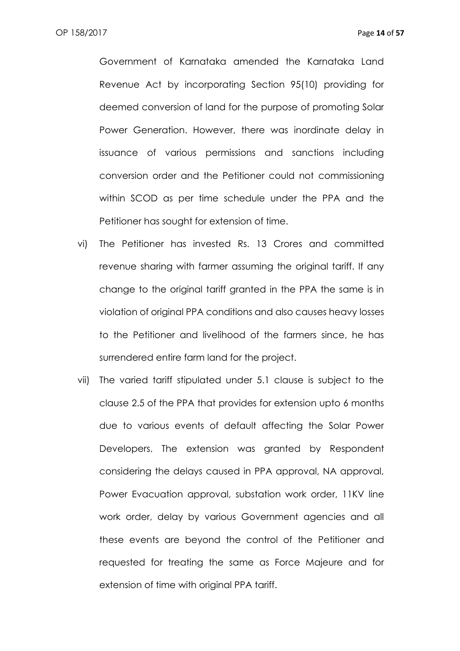Government of Karnataka amended the Karnataka Land Revenue Act by incorporating Section 95(10) providing for deemed conversion of land for the purpose of promoting Solar Power Generation. However, there was inordinate delay in issuance of various permissions and sanctions including conversion order and the Petitioner could not commissioning within SCOD as per time schedule under the PPA and the Petitioner has sought for extension of time.

- vi) The Petitioner has invested Rs. 13 Crores and committed revenue sharing with farmer assuming the original tariff. If any change to the original tariff granted in the PPA the same is in violation of original PPA conditions and also causes heavy losses to the Petitioner and livelihood of the farmers since, he has surrendered entire farm land for the project.
- vii) The varied tariff stipulated under 5.1 clause is subject to the clause 2.5 of the PPA that provides for extension upto 6 months due to various events of default affecting the Solar Power Developers. The extension was granted by Respondent considering the delays caused in PPA approval, NA approval, Power Evacuation approval, substation work order, 11KV line work order, delay by various Government agencies and all these events are beyond the control of the Petitioner and requested for treating the same as Force Majeure and for extension of time with original PPA tariff.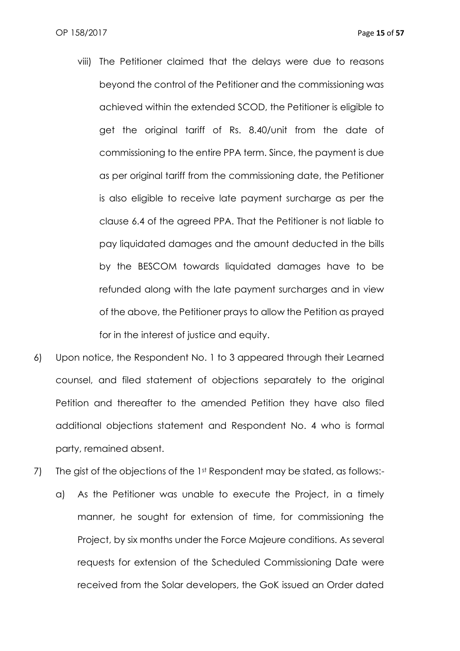- viii) The Petitioner claimed that the delays were due to reasons beyond the control of the Petitioner and the commissioning was achieved within the extended SCOD, the Petitioner is eligible to get the original tariff of Rs. 8.40/unit from the date of commissioning to the entire PPA term. Since, the payment is due as per original tariff from the commissioning date, the Petitioner is also eligible to receive late payment surcharge as per the clause 6.4 of the agreed PPA. That the Petitioner is not liable to pay liquidated damages and the amount deducted in the bills by the BESCOM towards liquidated damages have to be refunded along with the late payment surcharges and in view of the above, the Petitioner prays to allow the Petition as prayed for in the interest of justice and equity.
- 6) Upon notice, the Respondent No. 1 to 3 appeared through their Learned counsel, and filed statement of objections separately to the original Petition and thereafter to the amended Petition they have also filed additional objections statement and Respondent No. 4 who is formal party, remained absent.
- 7) The gist of the objections of the 1st Respondent may be stated, as follows:
	- a) As the Petitioner was unable to execute the Project, in a timely manner, he sought for extension of time, for commissioning the Project, by six months under the Force Majeure conditions. As several requests for extension of the Scheduled Commissioning Date were received from the Solar developers, the GoK issued an Order dated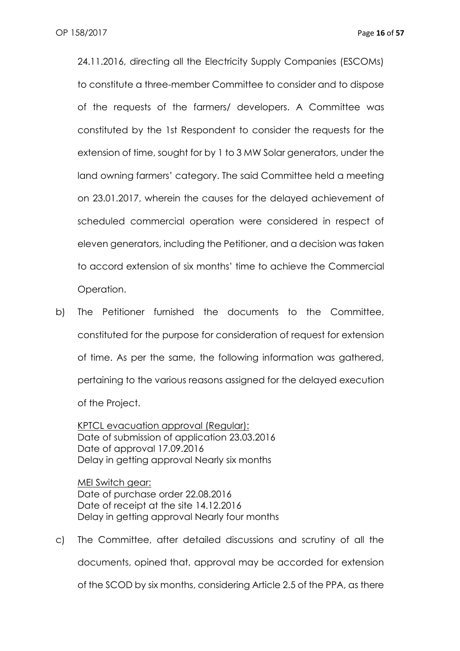24.11.2016, directing all the Electricity Supply Companies (ESCOMs) to constitute a three-member Committee to consider and to dispose of the requests of the farmers/ developers. A Committee was constituted by the 1st Respondent to consider the requests for the extension of time, sought for by 1 to 3 MW Solar generators, under the land owning farmers' category. The said Committee held a meeting on 23.01.2017, wherein the causes for the delayed achievement of scheduled commercial operation were considered in respect of eleven generators, including the Petitioner, and a decision was taken to accord extension of six months' time to achieve the Commercial Operation.

b) The Petitioner furnished the documents to the Committee, constituted for the purpose for consideration of request for extension of time. As per the same, the following information was gathered, pertaining to the various reasons assigned for the delayed execution of the Project.

KPTCL evacuation approval (Regular): Date of submission of application 23.03.2016 Date of approval 17.09.2016 Delay in getting approval Nearly six months

MEI Switch gear: Date of purchase order 22.08.2016 Date of receipt at the site 14.12.2016 Delay in getting approval Nearly four months

c) The Committee, after detailed discussions and scrutiny of all the documents, opined that, approval may be accorded for extension of the SCOD by six months, considering Article 2.5 of the PPA, as there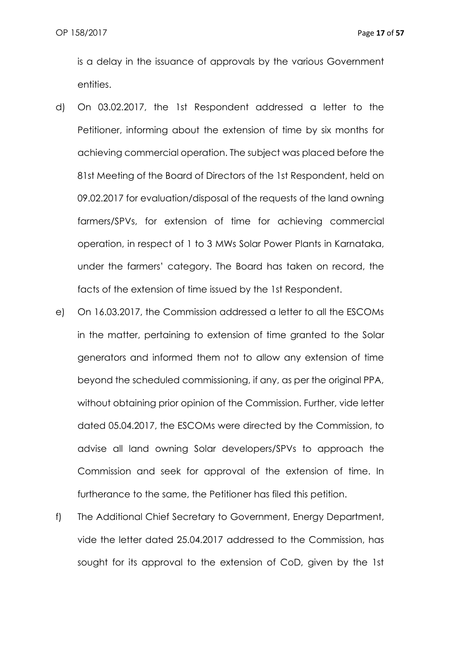is a delay in the issuance of approvals by the various Government entities.

- d) On 03.02.2017, the 1st Respondent addressed a letter to the Petitioner, informing about the extension of time by six months for achieving commercial operation. The subject was placed before the 81st Meeting of the Board of Directors of the 1st Respondent, held on 09.02.2017 for evaluation/disposal of the requests of the land owning farmers/SPVs, for extension of time for achieving commercial operation, in respect of 1 to 3 MWs Solar Power Plants in Karnataka, under the farmers' category. The Board has taken on record, the facts of the extension of time issued by the 1st Respondent.
- e) On 16.03.2017, the Commission addressed a letter to all the ESCOMs in the matter, pertaining to extension of time granted to the Solar generators and informed them not to allow any extension of time beyond the scheduled commissioning, if any, as per the original PPA, without obtaining prior opinion of the Commission. Further, vide letter dated 05.04.2017, the ESCOMs were directed by the Commission, to advise all land owning Solar developers/SPVs to approach the Commission and seek for approval of the extension of time. In furtherance to the same, the Petitioner has filed this petition.
- f) The Additional Chief Secretary to Government, Energy Department, vide the letter dated 25.04.2017 addressed to the Commission, has sought for its approval to the extension of CoD, given by the 1st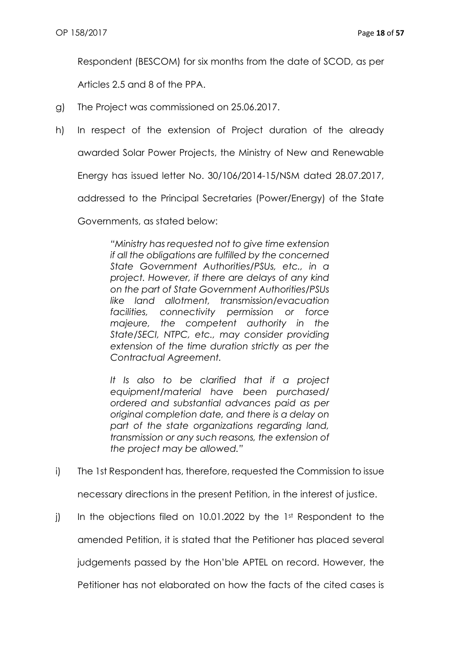Respondent (BESCOM) for six months from the date of SCOD, as per

Articles 2.5 and 8 of the PPA.

- g) The Project was commissioned on 25.06.2017.
- h) In respect of the extension of Project duration of the already

awarded Solar Power Projects, the Ministry of New and Renewable

Energy has issued letter No. 30/106/2014-15/NSM dated 28.07.2017,

addressed to the Principal Secretaries (Power/Energy) of the State

Governments, as stated below:

*"Ministry has requested not to give time extension if all the obligations are fulfilled by the concerned State Government Authorities/PSUs, etc., in a project. However, if there are delays of any kind on the part of State Government Authorities/PSUs like land allotment, transmission/evacuation facilities, connectivity permission or force majeure, the competent authority in the State/SECI, NTPC, etc., may consider providing extension of the time duration strictly as per the Contractual Agreement.*

*It Is also to be clarified that if a project equipment/material have been purchased/ ordered and substantial advances paid as per original completion date, and there is a delay on part of the state organizations regarding land, transmission or any such reasons, the extension of the project may be allowed."*

i) The 1st Respondent has, therefore, requested the Commission to issue

necessary directions in the present Petition, in the interest of justice.

j) In the objections filed on 10.01.2022 by the 1st Respondent to the amended Petition, it is stated that the Petitioner has placed several judgements passed by the Hon'ble APTEL on record. However, the Petitioner has not elaborated on how the facts of the cited cases is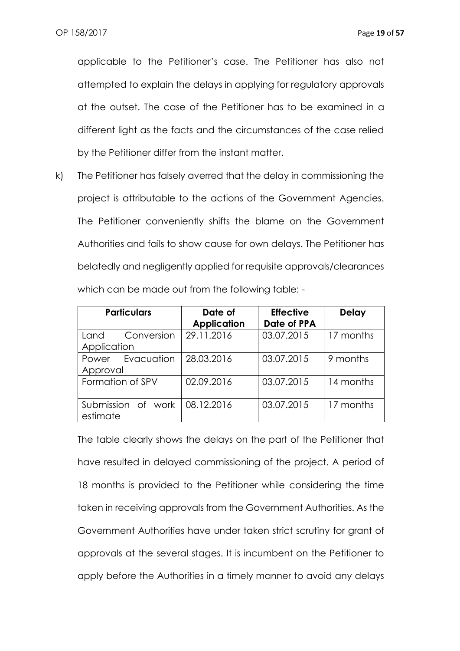applicable to the Petitioner's case. The Petitioner has also not attempted to explain the delays in applying for regulatory approvals at the outset. The case of the Petitioner has to be examined in a different light as the facts and the circumstances of the case relied by the Petitioner differ from the instant matter.

k) The Petitioner has falsely averred that the delay in commissioning the project is attributable to the actions of the Government Agencies. The Petitioner conveniently shifts the blame on the Government Authorities and fails to show cause for own delays. The Petitioner has belatedly and negligently applied for requisite approvals/clearances which can be made out from the following table: -

| <b>Particulars</b> |                  | Date of            | <b>Effective</b> | <b>Delay</b> |
|--------------------|------------------|--------------------|------------------|--------------|
|                    |                  | <b>Application</b> | Date of PPA      |              |
| Land               | Conversion       | 29.11.2016         | 03.07.2015       | 17 months    |
| Application        |                  |                    |                  |              |
|                    | Power Evacuation | 28.03.2016         | 03.07.2015       | 9 months     |
| Approval           |                  |                    |                  |              |
| Formation of SPV   |                  | 02.09.2016         | 03.07.2015       | 14 months    |
|                    |                  |                    |                  |              |
| Submission of work |                  | 08.12.2016         | 03.07.2015       | 17 months    |
| estimate           |                  |                    |                  |              |

The table clearly shows the delays on the part of the Petitioner that have resulted in delayed commissioning of the project. A period of 18 months is provided to the Petitioner while considering the time taken in receiving approvals from the Government Authorities. As the Government Authorities have under taken strict scrutiny for grant of approvals at the several stages. It is incumbent on the Petitioner to apply before the Authorities in a timely manner to avoid any delays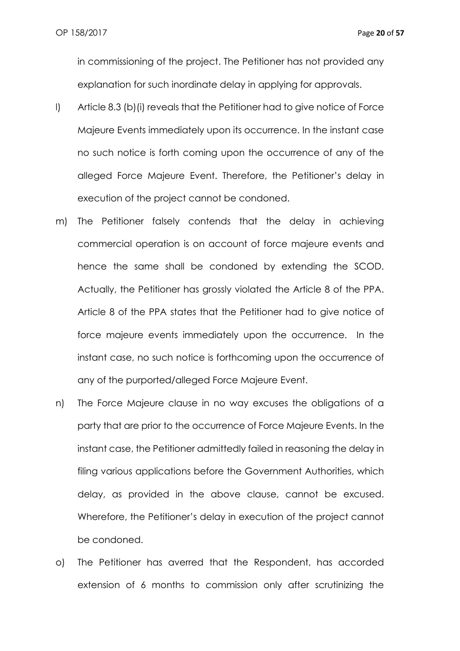in commissioning of the project. The Petitioner has not provided any explanation for such inordinate delay in applying for approvals.

- l) Article 8.3 (b)(i) reveals that the Petitioner had to give notice of Force Majeure Events immediately upon its occurrence. In the instant case no such notice is forth coming upon the occurrence of any of the alleged Force Majeure Event. Therefore, the Petitioner's delay in execution of the project cannot be condoned.
- m) The Petitioner falsely contends that the delay in achieving commercial operation is on account of force majeure events and hence the same shall be condoned by extending the SCOD. Actually, the Petitioner has grossly violated the Article 8 of the PPA. Article 8 of the PPA states that the Petitioner had to give notice of force majeure events immediately upon the occurrence. In the instant case, no such notice is forthcoming upon the occurrence of any of the purported/alleged Force Majeure Event.
- n) The Force Majeure clause in no way excuses the obligations of a party that are prior to the occurrence of Force Majeure Events. In the instant case, the Petitioner admittedly failed in reasoning the delay in filing various applications before the Government Authorities, which delay, as provided in the above clause, cannot be excused. Wherefore, the Petitioner's delay in execution of the project cannot be condoned.
- o) The Petitioner has averred that the Respondent, has accorded extension of 6 months to commission only after scrutinizing the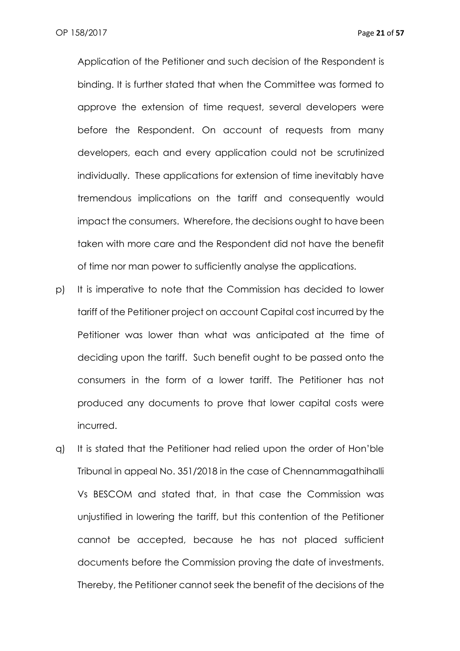Application of the Petitioner and such decision of the Respondent is binding. It is further stated that when the Committee was formed to approve the extension of time request, several developers were before the Respondent. On account of requests from many developers, each and every application could not be scrutinized individually. These applications for extension of time inevitably have tremendous implications on the tariff and consequently would impact the consumers. Wherefore, the decisions ought to have been taken with more care and the Respondent did not have the benefit of time nor man power to sufficiently analyse the applications.

- p) It is imperative to note that the Commission has decided to lower tariff of the Petitioner project on account Capital cost incurred by the Petitioner was lower than what was anticipated at the time of deciding upon the tariff. Such benefit ought to be passed onto the consumers in the form of a lower tariff. The Petitioner has not produced any documents to prove that lower capital costs were incurred.
- q) It is stated that the Petitioner had relied upon the order of Hon'ble Tribunal in appeal No. 351/2018 in the case of Chennammagathihalli Vs BESCOM and stated that, in that case the Commission was unjustified in lowering the tariff, but this contention of the Petitioner cannot be accepted, because he has not placed sufficient documents before the Commission proving the date of investments. Thereby, the Petitioner cannot seek the benefit of the decisions of the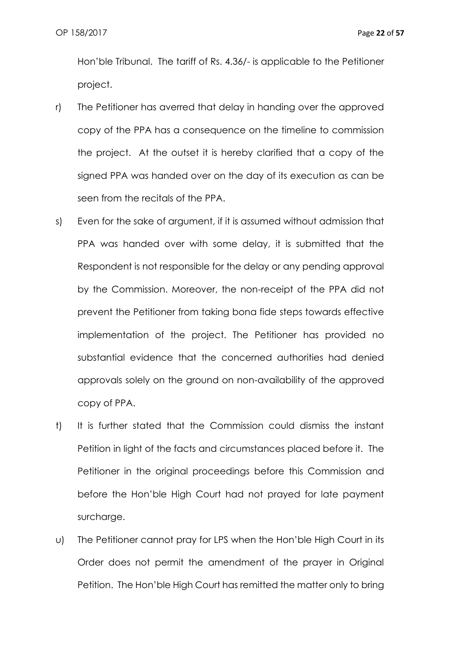Hon'ble Tribunal. The tariff of Rs. 4.36/- is applicable to the Petitioner project.

- r) The Petitioner has averred that delay in handing over the approved copy of the PPA has a consequence on the timeline to commission the project. At the outset it is hereby clarified that a copy of the signed PPA was handed over on the day of its execution as can be seen from the recitals of the PPA.
- s) Even for the sake of argument, if it is assumed without admission that PPA was handed over with some delay, it is submitted that the Respondent is not responsible for the delay or any pending approval by the Commission. Moreover, the non-receipt of the PPA did not prevent the Petitioner from taking bona fide steps towards effective implementation of the project. The Petitioner has provided no substantial evidence that the concerned authorities had denied approvals solely on the ground on non-availability of the approved copy of PPA.
- t) It is further stated that the Commission could dismiss the instant Petition in light of the facts and circumstances placed before it. The Petitioner in the original proceedings before this Commission and before the Hon'ble High Court had not prayed for late payment surcharge.
- u) The Petitioner cannot pray for LPS when the Hon'ble High Court in its Order does not permit the amendment of the prayer in Original Petition. The Hon'ble High Court has remitted the matter only to bring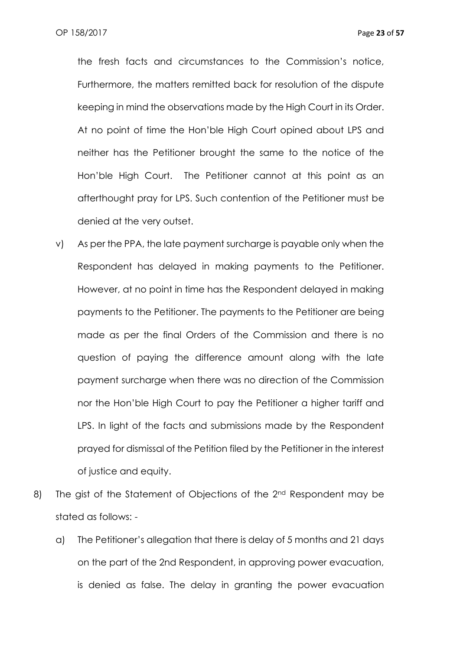the fresh facts and circumstances to the Commission's notice, Furthermore, the matters remitted back for resolution of the dispute keeping in mind the observations made by the High Court in its Order. At no point of time the Hon'ble High Court opined about LPS and neither has the Petitioner brought the same to the notice of the Hon'ble High Court. The Petitioner cannot at this point as an afterthought pray for LPS. Such contention of the Petitioner must be denied at the very outset.

- v) As per the PPA, the late payment surcharge is payable only when the Respondent has delayed in making payments to the Petitioner. However, at no point in time has the Respondent delayed in making payments to the Petitioner. The payments to the Petitioner are being made as per the final Orders of the Commission and there is no question of paying the difference amount along with the late payment surcharge when there was no direction of the Commission nor the Hon'ble High Court to pay the Petitioner a higher tariff and LPS. In light of the facts and submissions made by the Respondent prayed for dismissal of the Petition filed by the Petitioner in the interest of justice and equity.
- 8) The gist of the Statement of Objections of the 2<sup>nd</sup> Respondent may be stated as follows:
	- a) The Petitioner's allegation that there is delay of 5 months and 21 days on the part of the 2nd Respondent, in approving power evacuation, is denied as false. The delay in granting the power evacuation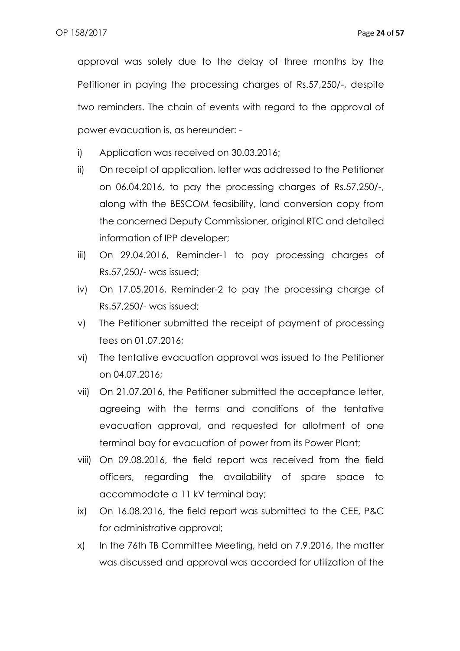approval was solely due to the delay of three months by the Petitioner in paying the processing charges of Rs.57,250/-, despite two reminders. The chain of events with regard to the approval of power evacuation is, as hereunder: -

- i) Application was received on 30.03.2016;
- ii) On receipt of application, letter was addressed to the Petitioner on 06.04.2016, to pay the processing charges of Rs.57,250/-, along with the BESCOM feasibility, land conversion copy from the concerned Deputy Commissioner, original RTC and detailed information of IPP developer;
- iii) On 29.04.2016, Reminder-1 to pay processing charges of Rs.57,250/- was issued;
- iv) On 17.05.2016, Reminder-2 to pay the processing charge of Rs.57,250/- was issued;
- v) The Petitioner submitted the receipt of payment of processing fees on 01.07.2016;
- vi) The tentative evacuation approval was issued to the Petitioner on 04.07.2016;
- vii) On 21.07.2016, the Petitioner submitted the acceptance letter, agreeing with the terms and conditions of the tentative evacuation approval, and requested for allotment of one terminal bay for evacuation of power from its Power Plant;
- viii) On 09.08.2016, the field report was received from the field officers, regarding the availability of spare space to accommodate a 11 kV terminal bay;
- ix) On 16.08.2016, the field report was submitted to the CEE, P&C for administrative approval;
- x) In the 76th TB Committee Meeting, held on 7.9.2016, the matter was discussed and approval was accorded for utilization of the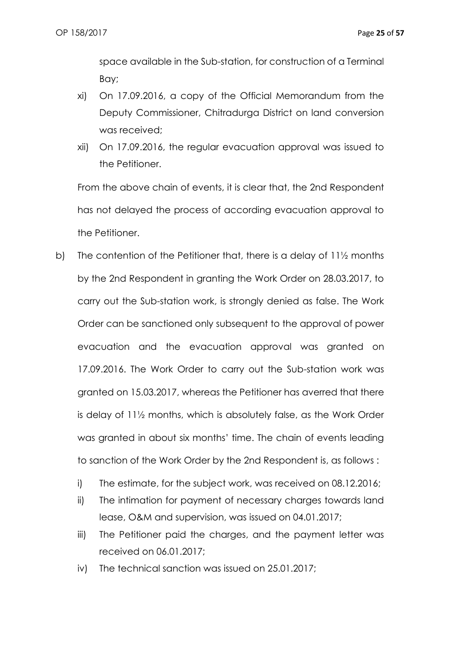space available in the Sub-station, for construction of a Terminal Bay;

- xi) On 17.09.2016, a copy of the Official Memorandum from the Deputy Commissioner, Chitradurga District on land conversion was received;
- xii) On 17.09.2016, the regular evacuation approval was issued to the Petitioner.

From the above chain of events, it is clear that, the 2nd Respondent has not delayed the process of according evacuation approval to the Petitioner.

- b) The contention of the Petitioner that, there is a delay of 11½ months by the 2nd Respondent in granting the Work Order on 28.03.2017, to carry out the Sub-station work, is strongly denied as false. The Work Order can be sanctioned only subsequent to the approval of power evacuation and the evacuation approval was granted on 17.09.2016. The Work Order to carry out the Sub-station work was granted on 15.03.2017, whereas the Petitioner has averred that there is delay of 11½ months, which is absolutely false, as the Work Order was granted in about six months' time. The chain of events leading to sanction of the Work Order by the 2nd Respondent is, as follows :
	- i) The estimate, for the subject work, was received on 08.12.2016;
	- ii) The intimation for payment of necessary charges towards land lease, O&M and supervision, was issued on 04.01.2017;
	- iii) The Petitioner paid the charges, and the payment letter was received on 06.01.2017;
	- iv) The technical sanction was issued on 25.01.2017;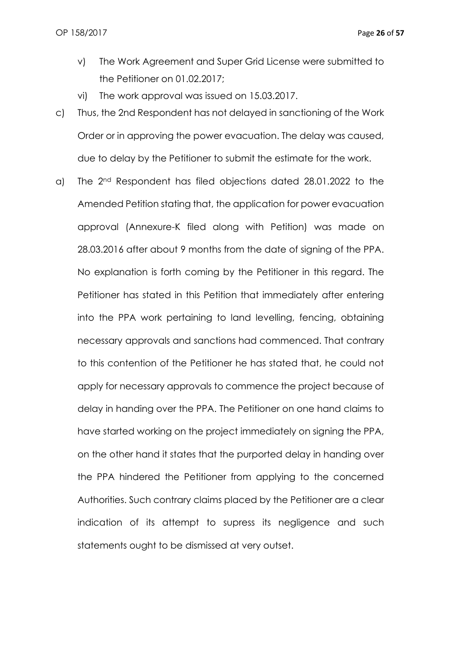- v) The Work Agreement and Super Grid License were submitted to the Petitioner on 01.02.2017;
- vi) The work approval was issued on 15.03.2017.
- c) Thus, the 2nd Respondent has not delayed in sanctioning of the Work Order or in approving the power evacuation. The delay was caused, due to delay by the Petitioner to submit the estimate for the work.
- a) The 2nd Respondent has filed objections dated 28.01.2022 to the Amended Petition stating that, the application for power evacuation approval (Annexure-K filed along with Petition) was made on 28.03.2016 after about 9 months from the date of signing of the PPA. No explanation is forth coming by the Petitioner in this regard. The Petitioner has stated in this Petition that immediately after entering into the PPA work pertaining to land levelling, fencing, obtaining necessary approvals and sanctions had commenced. That contrary to this contention of the Petitioner he has stated that, he could not apply for necessary approvals to commence the project because of delay in handing over the PPA. The Petitioner on one hand claims to have started working on the project immediately on signing the PPA, on the other hand it states that the purported delay in handing over the PPA hindered the Petitioner from applying to the concerned Authorities. Such contrary claims placed by the Petitioner are a clear indication of its attempt to supress its negligence and such statements ought to be dismissed at very outset.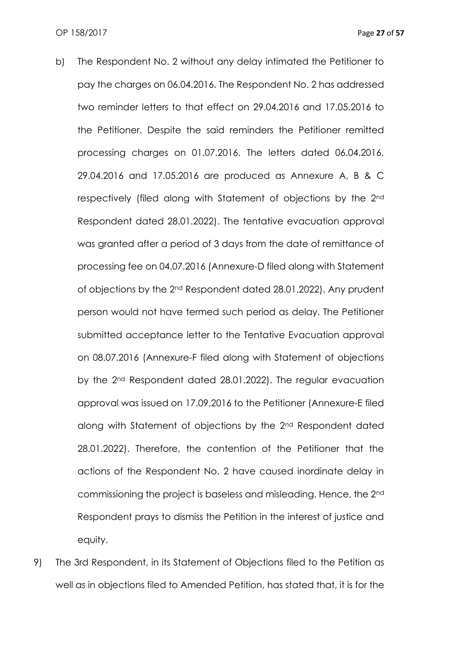- b) The Respondent No. 2 without any delay intimated the Petitioner to pay the charges on 06.04.2016. The Respondent No. 2 has addressed two reminder letters to that effect on 29.04.2016 and 17.05.2016 to the Petitioner. Despite the said reminders the Petitioner remitted processing charges on 01.07.2016. The letters dated 06.04.2016, 29.04.2016 and 17.05.2016 are produced as Annexure A, B & C respectively (filed along with Statement of objections by the 2nd Respondent dated 28.01.2022). The tentative evacuation approval was granted after a period of 3 days from the date of remittance of processing fee on 04.07.2016 (Annexure-D filed along with Statement of objections by the 2nd Respondent dated 28.01.2022). Any prudent person would not have termed such period as delay. The Petitioner submitted acceptance letter to the Tentative Evacuation approval on 08.07.2016 (Annexure-F filed along with Statement of objections by the 2nd Respondent dated 28.01.2022). The regular evacuation approval was issued on 17.09.2016 to the Petitioner (Annexure-E filed along with Statement of objections by the 2nd Respondent dated 28.01.2022). Therefore, the contention of the Petitioner that the actions of the Respondent No. 2 have caused inordinate delay in commissioning the project is baseless and misleading. Hence, the 2nd Respondent prays to dismiss the Petition in the interest of justice and equity.
- 9) The 3rd Respondent, in its Statement of Objections filed to the Petition as well as in objections filed to Amended Petition, has stated that, it is for the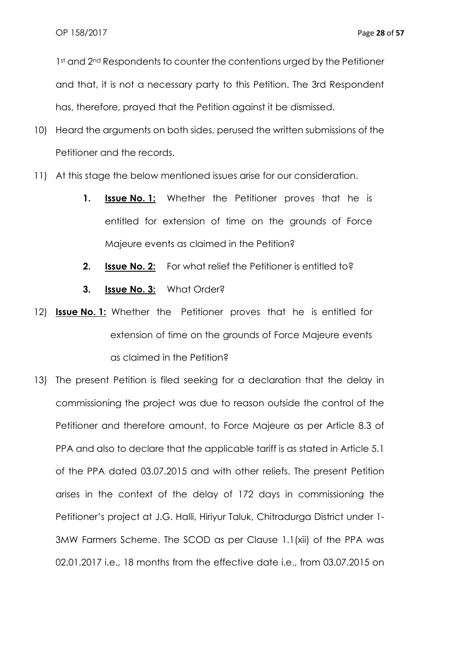1st and 2<sup>nd</sup> Respondents to counter the contentions urged by the Petitioner and that, it is not a necessary party to this Petition. The 3rd Respondent has, therefore, prayed that the Petition against it be dismissed.

- 10) Heard the arguments on both sides, perused the written submissions of the Petitioner and the records.
- 11) At this stage the below mentioned issues arise for our consideration.
	- **1. Issue No. 1:** Whether the Petitioner proves that he is entitled for extension of time on the grounds of Force Majeure events as claimed in the Petition?
	- **2. Issue No. 2:** For what relief the Petitioner is entitled to?
	- **3. Issue No. 3:** What Order?
- 12) **Issue No. 1:** Whether the Petitioner proves that he is entitled for extension of time on the grounds of Force Majeure events as claimed in the Petition?
- 13) The present Petition is filed seeking for a declaration that the delay in commissioning the project was due to reason outside the control of the Petitioner and therefore amount, to Force Majeure as per Article 8.3 of PPA and also to declare that the applicable tariff is as stated in Article 5.1 of the PPA dated 03.07.2015 and with other reliefs. The present Petition arises in the context of the delay of 172 days in commissioning the Petitioner's project at J.G. Halli, Hiriyur Taluk, Chitradurga District under 1- 3MW Farmers Scheme. The SCOD as per Clause 1.1(xii) of the PPA was 02.01.2017 i.e., 18 months from the effective date i.e., from 03.07.2015 on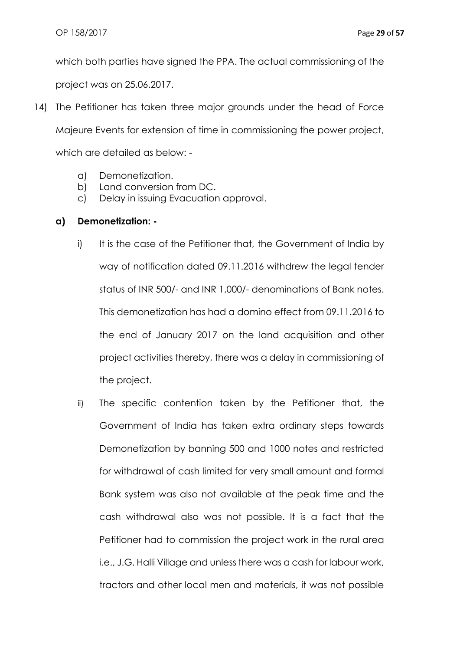which both parties have signed the PPA. The actual commissioning of the project was on 25.06.2017.

- 14) The Petitioner has taken three major grounds under the head of Force Majeure Events for extension of time in commissioning the power project, which are detailed as below:
	- a) Demonetization.
	- b) Land conversion from DC.
	- c) Delay in issuing Evacuation approval.

### **a) Demonetization: -**

- i) It is the case of the Petitioner that, the Government of India by way of notification dated 09.11.2016 withdrew the legal tender status of INR 500/- and INR 1,000/- denominations of Bank notes. This demonetization has had a domino effect from 09.11.2016 to the end of January 2017 on the land acquisition and other project activities thereby, there was a delay in commissioning of the project.
- ii) The specific contention taken by the Petitioner that, the Government of India has taken extra ordinary steps towards Demonetization by banning 500 and 1000 notes and restricted for withdrawal of cash limited for very small amount and formal Bank system was also not available at the peak time and the cash withdrawal also was not possible. It is a fact that the Petitioner had to commission the project work in the rural area i.e., J.G. Halli Village and unless there was a cash for labour work, tractors and other local men and materials, it was not possible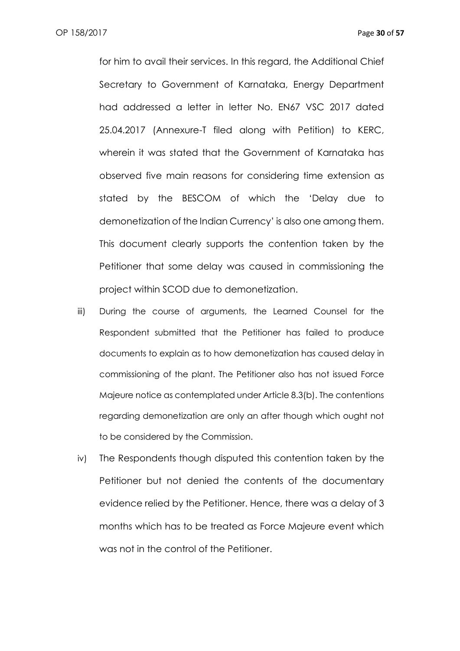for him to avail their services. In this regard, the Additional Chief Secretary to Government of Karnataka, Energy Department had addressed a letter in letter No. EN67 VSC 2017 dated 25.04.2017 (Annexure-T filed along with Petition) to KERC, wherein it was stated that the Government of Karnataka has observed five main reasons for considering time extension as stated by the BESCOM of which the 'Delay due to demonetization of the Indian Currency' is also one among them. This document clearly supports the contention taken by the Petitioner that some delay was caused in commissioning the project within SCOD due to demonetization.

- iii) During the course of arguments, the Learned Counsel for the Respondent submitted that the Petitioner has failed to produce documents to explain as to how demonetization has caused delay in commissioning of the plant. The Petitioner also has not issued Force Majeure notice as contemplated under Article 8.3(b). The contentions regarding demonetization are only an after though which ought not to be considered by the Commission.
- iv) The Respondents though disputed this contention taken by the Petitioner but not denied the contents of the documentary evidence relied by the Petitioner. Hence, there was a delay of 3 months which has to be treated as Force Majeure event which was not in the control of the Petitioner.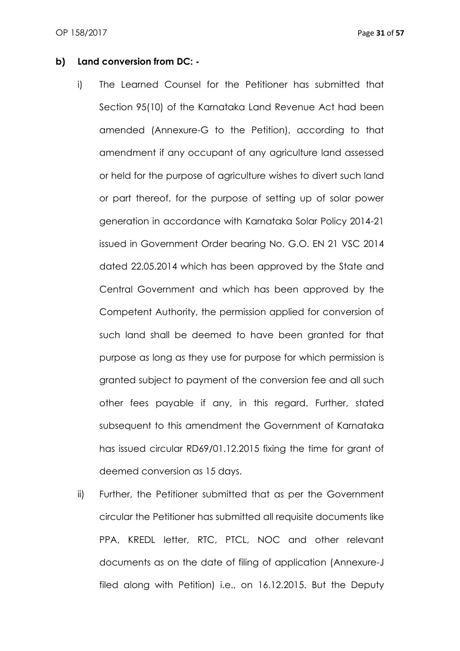#### **b) Land conversion from DC: -**

- i) The Learned Counsel for the Petitioner has submitted that Section 95(10) of the Karnataka Land Revenue Act had been amended (Annexure-G to the Petition), according to that amendment if any occupant of any agriculture land assessed or held for the purpose of agriculture wishes to divert such land or part thereof, for the purpose of setting up of solar power generation in accordance with Karnataka Solar Policy 2014-21 issued in Government Order bearing No. G.O. EN 21 VSC 2014 dated 22.05.2014 which has been approved by the State and Central Government and which has been approved by the Competent Authority, the permission applied for conversion of such land shall be deemed to have been granted for that purpose as long as they use for purpose for which permission is granted subject to payment of the conversion fee and all such other fees payable if any, in this regard. Further, stated subsequent to this amendment the Government of Karnataka has issued circular RD69/01.12.2015 fixing the time for grant of deemed conversion as 15 days.
- ii) Further, the Petitioner submitted that as per the Government circular the Petitioner has submitted all requisite documents like PPA, KREDL letter, RTC, PTCL, NOC and other relevant documents as on the date of filing of application (Annexure-J filed along with Petition) i.e., on 16.12.2015. But the Deputy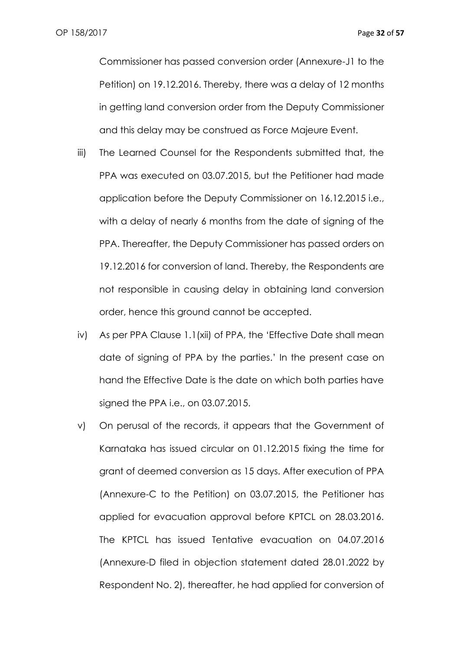Commissioner has passed conversion order (Annexure-J1 to the Petition) on 19.12.2016. Thereby, there was a delay of 12 months in getting land conversion order from the Deputy Commissioner and this delay may be construed as Force Majeure Event.

- iii) The Learned Counsel for the Respondents submitted that, the PPA was executed on 03.07.2015, but the Petitioner had made application before the Deputy Commissioner on 16.12.2015 i.e., with a delay of nearly 6 months from the date of signing of the PPA. Thereafter, the Deputy Commissioner has passed orders on 19.12.2016 for conversion of land. Thereby, the Respondents are not responsible in causing delay in obtaining land conversion order, hence this ground cannot be accepted.
- iv) As per PPA Clause 1.1(xii) of PPA, the 'Effective Date shall mean date of signing of PPA by the parties.' In the present case on hand the Effective Date is the date on which both parties have signed the PPA i.e., on 03.07.2015.
- v) On perusal of the records, it appears that the Government of Karnataka has issued circular on 01.12.2015 fixing the time for grant of deemed conversion as 15 days. After execution of PPA (Annexure-C to the Petition) on 03.07.2015, the Petitioner has applied for evacuation approval before KPTCL on 28.03.2016. The KPTCL has issued Tentative evacuation on 04.07.2016 (Annexure-D filed in objection statement dated 28.01.2022 by Respondent No. 2), thereafter, he had applied for conversion of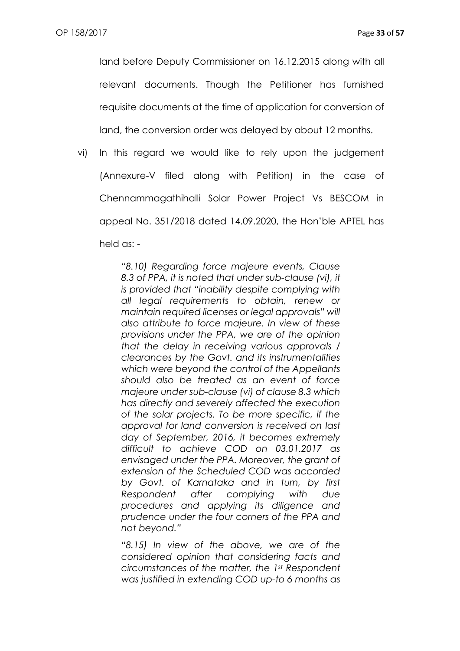land before Deputy Commissioner on 16.12.2015 along with all relevant documents. Though the Petitioner has furnished requisite documents at the time of application for conversion of land, the conversion order was delayed by about 12 months.

vi) In this regard we would like to rely upon the judgement (Annexure-V filed along with Petition) in the case of Chennammagathihalli Solar Power Project Vs BESCOM in appeal No. 351/2018 dated 14.09.2020, the Hon'ble APTEL has held as: -

> *"8.10) Regarding force majeure events, Clause 8.3 of PPA, it is noted that under sub-clause (vi), it is provided that "inability despite complying with all legal requirements to obtain, renew or maintain required licenses or legal approvals" will also attribute to force majeure. In view of these provisions under the PPA, we are of the opinion that the delay in receiving various approvals / clearances by the Govt. and its instrumentalities which were beyond the control of the Appellants should also be treated as an event of force majeure under sub-clause (vi) of clause 8.3 which has directly and severely affected the execution of the solar projects. To be more specific, if the approval for land conversion is received on last day of September, 2016, it becomes extremely difficult to achieve COD on 03.01.2017 as envisaged under the PPA. Moreover, the grant of extension of the Scheduled COD was accorded by Govt. of Karnataka and in turn, by first Respondent after complying with due procedures and applying its diligence and prudence under the four corners of the PPA and not beyond."*

> *"8.15) In view of the above, we are of the considered opinion that considering facts and circumstances of the matter, the 1st Respondent was justified in extending COD up-to 6 months as*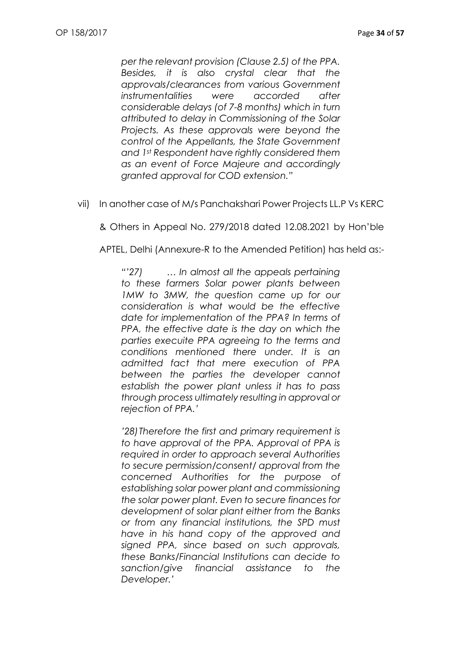*per the relevant provision (Clause 2.5) of the PPA. Besides, it is also crystal clear that the approvals/clearances from various Government instrumentalities were accorded after considerable delays (of 7-8 months) which in turn attributed to delay in Commissioning of the Solar Projects. As these approvals were beyond the control of the Appellants, the State Government and 1st Respondent have rightly considered them as an event of Force Majeure and accordingly granted approval for COD extension."*

vii) In another case of M/s Panchakshari Power Projects LL.P Vs KERC

& Others in Appeal No. 279/2018 dated 12.08.2021 by Hon'ble

APTEL, Delhi (Annexure-R to the Amended Petition) has held as:-

*"'27) … In almost all the appeals pertaining to these farmers Solar power plants between 1MW to 3MW, the question came up for our consideration is what would be the effective date for implementation of the PPA? In terms of PPA, the effective date is the day on which the parties execuite PPA agreeing to the terms and conditions mentioned there under. It is an admitted fact that mere execution of PPA between the parties the developer cannot establish the power plant unless it has to pass through process ultimately resulting in approval or rejection of PPA.'*

*'28)Therefore the first and primary requirement is to have approval of the PPA. Approval of PPA is required in order to approach several Authorities to secure permission/consent/ approval from the concerned Authorities for the purpose of establishing solar power plant and commissioning the solar power plant. Even to secure finances for development of solar plant either from the Banks or from any financial institutions, the SPD must have in his hand copy of the approved and signed PPA, since based on such approvals, these Banks/Financial Institutions can decide to sanction/give financial assistance to the Developer.'*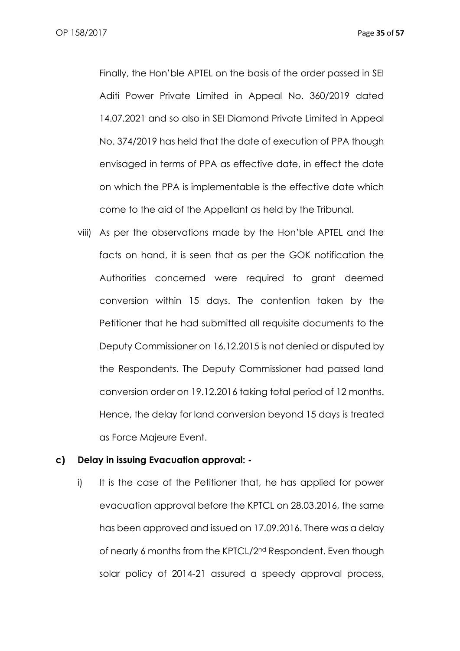Finally, the Hon'ble APTEL on the basis of the order passed in SEI Aditi Power Private Limited in Appeal No. 360/2019 dated 14.07.2021 and so also in SEI Diamond Private Limited in Appeal No. 374/2019 has held that the date of execution of PPA though envisaged in terms of PPA as effective date, in effect the date on which the PPA is implementable is the effective date which come to the aid of the Appellant as held by the Tribunal.

viii) As per the observations made by the Hon'ble APTEL and the facts on hand, it is seen that as per the GOK notification the Authorities concerned were required to grant deemed conversion within 15 days. The contention taken by the Petitioner that he had submitted all requisite documents to the Deputy Commissioner on 16.12.2015 is not denied or disputed by the Respondents. The Deputy Commissioner had passed land conversion order on 19.12.2016 taking total period of 12 months. Hence, the delay for land conversion beyond 15 days is treated as Force Majeure Event.

#### **c) Delay in issuing Evacuation approval: -**

i) It is the case of the Petitioner that, he has applied for power evacuation approval before the KPTCL on 28.03.2016, the same has been approved and issued on 17.09.2016. There was a delay of nearly 6 months from the KPTCL/2nd Respondent. Even though solar policy of 2014-21 assured a speedy approval process,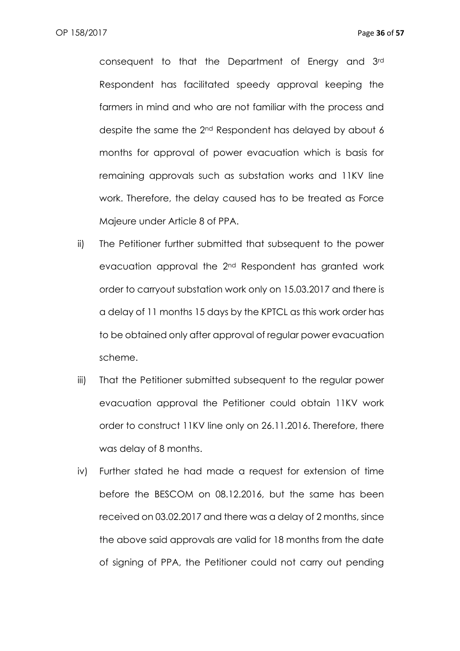consequent to that the Department of Energy and 3rd Respondent has facilitated speedy approval keeping the farmers in mind and who are not familiar with the process and despite the same the 2nd Respondent has delayed by about 6 months for approval of power evacuation which is basis for remaining approvals such as substation works and 11KV line work. Therefore, the delay caused has to be treated as Force Majeure under Article 8 of PPA.

- ii) The Petitioner further submitted that subsequent to the power evacuation approval the 2nd Respondent has granted work order to carryout substation work only on 15.03.2017 and there is a delay of 11 months 15 days by the KPTCL as this work order has to be obtained only after approval of regular power evacuation scheme.
- iii) That the Petitioner submitted subsequent to the regular power evacuation approval the Petitioner could obtain 11KV work order to construct 11KV line only on 26.11.2016. Therefore, there was delay of 8 months.
- iv) Further stated he had made a request for extension of time before the BESCOM on 08.12.2016, but the same has been received on 03.02.2017 and there was a delay of 2 months, since the above said approvals are valid for 18 months from the date of signing of PPA, the Petitioner could not carry out pending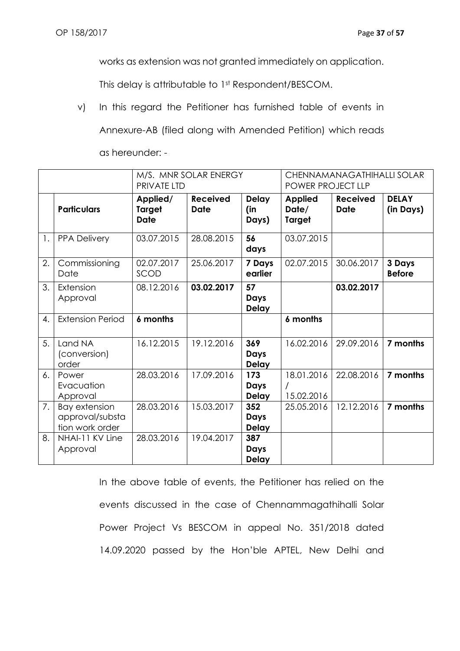works as extension was not granted immediately on application.

This delay is attributable to 1st Respondent/BESCOM.

v) In this regard the Petitioner has furnished table of events in Annexure-AB (filed along with Amended Petition) which reads

|    | M/S. MNR SOLAR ENERGY<br>PRIVATE LTD                       |                                          |                                | CHENNAMANAGATHIHALLI SOLAR<br>POWER PROJECT LLP |                                          |                                |                           |
|----|------------------------------------------------------------|------------------------------------------|--------------------------------|-------------------------------------------------|------------------------------------------|--------------------------------|---------------------------|
|    | <b>Particulars</b>                                         | Applied/<br><b>Target</b><br><b>Date</b> | <b>Received</b><br><b>Date</b> | <b>Delay</b><br>(in<br>Days)                    | <b>Applied</b><br>Date/<br><b>Target</b> | <b>Received</b><br><b>Date</b> | <b>DELAY</b><br>(in Days) |
| 1. | <b>PPA Delivery</b>                                        | 03.07.2015                               | 28.08.2015                     | 56<br>days                                      | 03.07.2015                               |                                |                           |
| 2. | Commissioning<br>Date                                      | 02.07.2017<br>SCOD                       | 25.06.2017                     | 7 Days<br>earlier                               | 02.07.2015                               | 30.06.2017                     | 3 Days<br><b>Before</b>   |
| 3. | Extension<br>Approval                                      | 08.12.2016                               | 03.02.2017                     | 57<br>Days<br><b>Delay</b>                      |                                          | 03.02.2017                     |                           |
| 4. | <b>Extension Period</b>                                    | 6 months                                 |                                |                                                 | 6 months                                 |                                |                           |
| 5. | Land NA<br>(conversion)<br>order                           | 16.12.2015                               | 19.12.2016                     | 369<br>Days<br><b>Delay</b>                     | 16.02.2016                               | 29.09.2016                     | 7 months                  |
| 6. | Power<br>Evacuation<br>Approval                            | 28.03.2016                               | 17.09.2016                     | 173<br>Days<br><b>Delay</b>                     | 18.01.2016<br>15.02.2016                 | 22.08.2016                     | 7 months                  |
| 7. | <b>Bay extension</b><br>approval/substa<br>tion work order | 28.03.2016                               | 15.03.2017                     | 352<br>Days<br><b>Delay</b>                     | 25.05.2016                               | 12.12.2016                     | 7 months                  |
| 8. | NHAI-11 KV Line<br>Approval                                | 28.03.2016                               | 19.04.2017                     | 387<br>Days<br><b>Delay</b>                     |                                          |                                |                           |

as hereunder: -

In the above table of events, the Petitioner has relied on the events discussed in the case of Chennammagathihalli Solar Power Project Vs BESCOM in appeal No. 351/2018 dated 14.09.2020 passed by the Hon'ble APTEL, New Delhi and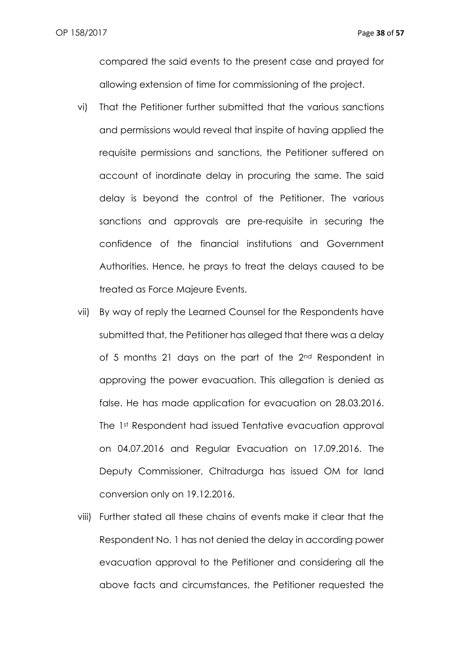compared the said events to the present case and prayed for allowing extension of time for commissioning of the project.

- vi) That the Petitioner further submitted that the various sanctions and permissions would reveal that inspite of having applied the requisite permissions and sanctions, the Petitioner suffered on account of inordinate delay in procuring the same. The said delay is beyond the control of the Petitioner. The various sanctions and approvals are pre-requisite in securing the confidence of the financial institutions and Government Authorities. Hence, he prays to treat the delays caused to be treated as Force Majeure Events.
- vii) By way of reply the Learned Counsel for the Respondents have submitted that, the Petitioner has alleged that there was a delay of 5 months 21 days on the part of the 2<sup>nd</sup> Respondent in approving the power evacuation. This allegation is denied as false. He has made application for evacuation on 28.03.2016. The 1st Respondent had issued Tentative evacuation approval on 04.07.2016 and Regular Evacuation on 17.09.2016. The Deputy Commissioner, Chitradurga has issued OM for land conversion only on 19.12.2016.
- viii) Further stated all these chains of events make it clear that the Respondent No. 1 has not denied the delay in according power evacuation approval to the Petitioner and considering all the above facts and circumstances, the Petitioner requested the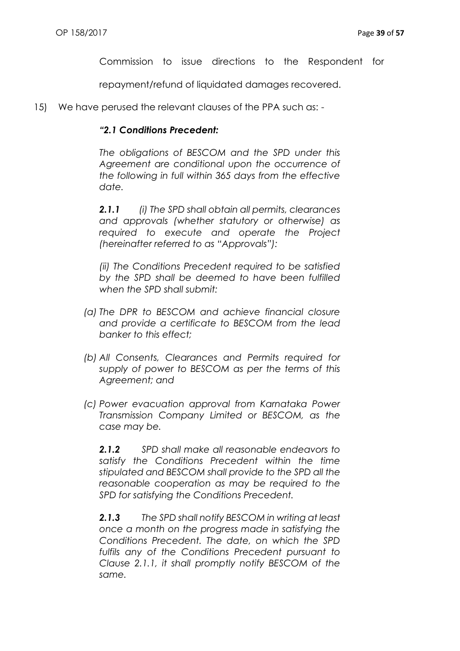Commission to issue directions to the Respondent for

repayment/refund of liquidated damages recovered.

15) We have perused the relevant clauses of the PPA such as: -

### *"2.1 Conditions Precedent:*

*The obligations of BESCOM and the SPD under this Agreement are conditional upon the occurrence of the following in full within 365 days from the effective date.*

*2.1.1 (i) The SPD shall obtain all permits, clearances and approvals (whether statutory or otherwise) as required to execute and operate the Project (hereinafter referred to as "Approvals"):*

*(ii) The Conditions Precedent required to be satisfied by the SPD shall be deemed to have been fulfilled when the SPD shall submit:*

- *(a) The DPR to BESCOM and achieve financial closure and provide a certificate to BESCOM from the lead banker to this effect;*
- *(b) All Consents, Clearances and Permits required for supply of power to BESCOM as per the terms of this Agreement; and*
- *(c) Power evacuation approval from Karnataka Power Transmission Company Limited or BESCOM, as the case may be.*

*2.1.2 SPD shall make all reasonable endeavors to satisfy the Conditions Precedent within the time stipulated and BESCOM shall provide to the SPD all the reasonable cooperation as may be required to the SPD for satisfying the Conditions Precedent.*

*2.1.3 The SPD shall notify BESCOM in writing at least once a month on the progress made in satisfying the Conditions Precedent. The date, on which the SPD fulfils any of the Conditions Precedent pursuant to Clause 2.1.1, it shall promptly notify BESCOM of the same.*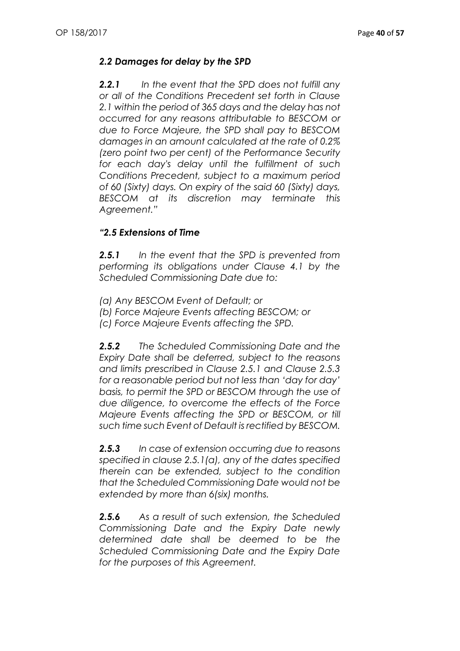# *2.2 Damages for delay by the SPD*

*2.2.1 In the event that the SPD does not fulfill any or all of the Conditions Precedent set forth in Clause 2.1 within the period of 365 days and the delay has not occurred for any reasons attributable to BESCOM or due to Force Majeure, the SPD shall pay to BESCOM damages in an amount calculated at the rate of 0.2% (zero point two per cent) of the Performance Security for each day's delay until the fulfillment of such Conditions Precedent, subject to a maximum period of 60 (Sixty) days. On expiry of the said 60 (Sixty) days, BESCOM at its discretion may terminate this Agreement."*

## *"2.5 Extensions of Time*

*2.5.1 In the event that the SPD is prevented from performing its obligations under Clause 4.1 by the Scheduled Commissioning Date due to:*

*(a) Any BESCOM Event of Default; or*

*(b) Force Majeure Events affecting BESCOM; or*

*(c) Force Majeure Events affecting the SPD.*

*2.5.2 The Scheduled Commissioning Date and the Expiry Date shall be deferred, subject to the reasons and limits prescribed in Clause 2.5.1 and Clause 2.5.3 for a reasonable period but not less than 'day for day' basis, to permit the SPD or BESCOM through the use of due diligence, to overcome the effects of the Force Majeure Events affecting the SPD or BESCOM, or till such time such Event of Default is rectified by BESCOM.*

*2.5.3 In case of extension occurring due to reasons specified in clause 2.5.1(a), any of the dates specified therein can be extended, subject to the condition that the Scheduled Commissioning Date would not be extended by more than 6(six) months.*

*2.5.6 As a result of such extension, the Scheduled Commissioning Date and the Expiry Date newly determined date shall be deemed to be the Scheduled Commissioning Date and the Expiry Date for the purposes of this Agreement.*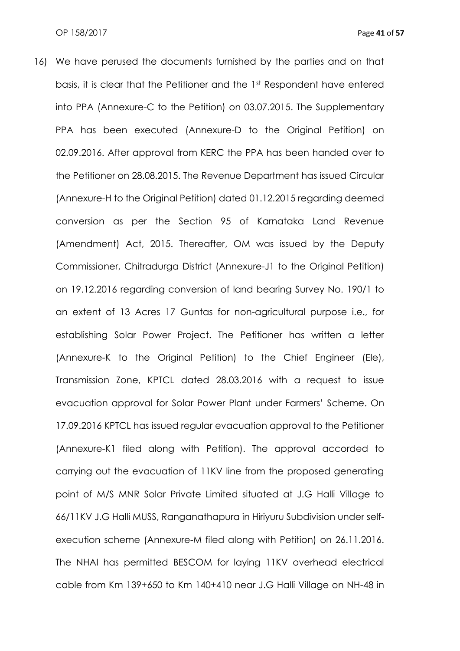16) We have perused the documents furnished by the parties and on that basis, it is clear that the Petitioner and the 1st Respondent have entered into PPA (Annexure-C to the Petition) on 03.07.2015. The Supplementary PPA has been executed (Annexure-D to the Original Petition) on 02.09.2016. After approval from KERC the PPA has been handed over to the Petitioner on 28.08.2015. The Revenue Department has issued Circular (Annexure-H to the Original Petition) dated 01.12.2015 regarding deemed conversion as per the Section 95 of Karnataka Land Revenue (Amendment) Act, 2015. Thereafter, OM was issued by the Deputy Commissioner, Chitradurga District (Annexure-J1 to the Original Petition) on 19.12.2016 regarding conversion of land bearing Survey No. 190/1 to an extent of 13 Acres 17 Guntas for non-agricultural purpose i.e., for establishing Solar Power Project. The Petitioner has written a letter (Annexure-K to the Original Petition) to the Chief Engineer (Ele), Transmission Zone, KPTCL dated 28.03.2016 with a request to issue evacuation approval for Solar Power Plant under Farmers' Scheme. On 17.09.2016 KPTCL has issued regular evacuation approval to the Petitioner (Annexure-K1 filed along with Petition). The approval accorded to carrying out the evacuation of 11KV line from the proposed generating point of M/S MNR Solar Private Limited situated at J.G Halli Village to 66/11KV J.G Halli MUSS, Ranganathapura in Hiriyuru Subdivision under selfexecution scheme (Annexure-M filed along with Petition) on 26.11.2016. The NHAI has permitted BESCOM for laying 11KV overhead electrical cable from Km 139+650 to Km 140+410 near J.G Halli Village on NH-48 in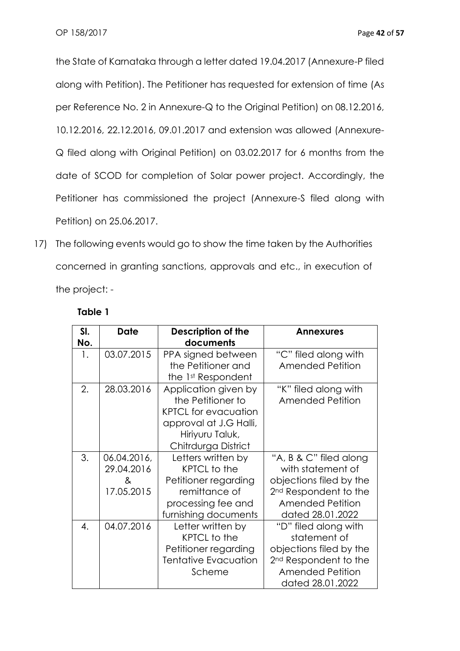the State of Karnataka through a letter dated 19.04.2017 (Annexure-P filed along with Petition). The Petitioner has requested for extension of time (As per Reference No. 2 in Annexure-Q to the Original Petition) on 08.12.2016, 10.12.2016, 22.12.2016, 09.01.2017 and extension was allowed (Annexure-Q filed along with Original Petition) on 03.02.2017 for 6 months from the date of SCOD for completion of Solar power project. Accordingly, the Petitioner has commissioned the project (Annexure-S filed along with Petition) on 25.06.2017.

17) The following events would go to show the time taken by the Authorities concerned in granting sanctions, approvals and etc., in execution of the project: -

| SI. | Date        | Description of the          | <b>Annexures</b>                  |
|-----|-------------|-----------------------------|-----------------------------------|
| No. |             | documents                   |                                   |
| 1.  | 03.07.2015  | PPA signed between          | "C" filed along with              |
|     |             | the Petitioner and          | <b>Amended Petition</b>           |
|     |             | the 1st Respondent          |                                   |
| 2.  | 28.03.2016  | Application given by        | "K" filed along with              |
|     |             | the Petitioner to           | <b>Amended Petition</b>           |
|     |             | <b>KPTCL for evacuation</b> |                                   |
|     |             | approval at J.G Halli,      |                                   |
|     |             | Hiriyuru Taluk,             |                                   |
|     |             | Chitrdurga District         |                                   |
| 3.  | 06.04.2016, | Letters written by          | "A, B & C" filed along            |
|     | 29.04.2016  | KPTCL to the                | with statement of                 |
|     | &           | Petitioner regarding        | objections filed by the           |
|     | 17.05.2015  | remittance of               | 2 <sup>nd</sup> Respondent to the |
|     |             | processing fee and          | <b>Amended Petition</b>           |
|     |             | furnishing documents        | dated 28.01.2022                  |
| 4.  | 04.07.2016  | Letter written by           | "D" filed along with              |
|     |             | <b>KPTCL</b> to the         | statement of                      |
|     |             | Petitioner regarding        | objections filed by the           |
|     |             | Tentative Evacuation        | 2 <sup>nd</sup> Respondent to the |
|     |             | Scheme                      | <b>Amended Petition</b>           |
|     |             |                             | dated 28.01.2022                  |

## **Table 1**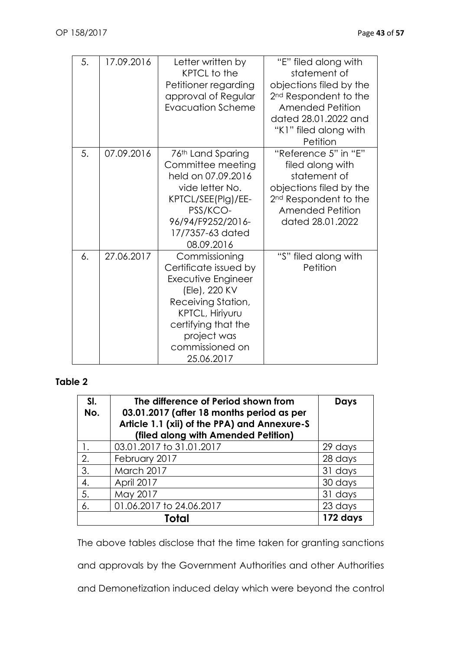| 5. | 17.09.2016 | Letter written by<br><b>KPTCL</b> to the<br>Petitioner regarding<br>approval of Regular<br><b>Evacuation Scheme</b>                                                                           | "E" filed along with<br>statement of<br>objections filed by the<br>2 <sup>nd</sup> Respondent to the<br>Amended Petition<br>dated 28.01.2022 and<br>"K1" filed along with<br>Petition |
|----|------------|-----------------------------------------------------------------------------------------------------------------------------------------------------------------------------------------------|---------------------------------------------------------------------------------------------------------------------------------------------------------------------------------------|
| 5. | 07.09.2016 | 76th Land Sparing<br>Committee meeting<br>held on 07.09.2016<br>vide letter No.<br>KPTCL/SEE(Plg)/EE-<br>PSS/KCO-<br>96/94/F9252/2016-<br>17/7357-63 dated<br>08.09.2016                      | "Reference 5" in "E"<br>filed along with<br>statement of<br>objections filed by the<br>2 <sup>nd</sup> Respondent to the<br><b>Amended Petition</b><br>dated 28.01.2022               |
| 6. | 27.06.2017 | Commissioning<br>Certificate issued by<br>Executive Engineer<br>(Ele), 220 KV<br>Receiving Station,<br>KPTCL, Hiriyuru<br>certifying that the<br>project was<br>commissioned on<br>25.06.2017 | "S" filed along with<br>Petition                                                                                                                                                      |

# **Table 2**

| SI.<br>No. | The difference of Period shown from<br>03.01.2017 (after 18 months period as per<br>Article 1.1 (xii) of the PPA) and Annexure-S<br>(filed along with Amended Petition) | <b>Days</b> |
|------------|-------------------------------------------------------------------------------------------------------------------------------------------------------------------------|-------------|
| 1.         | 03.01.2017 to 31.01.2017                                                                                                                                                | 29 days     |
| 2.         | February 2017                                                                                                                                                           | 28 days     |
| 3.         | March 2017                                                                                                                                                              | 31 days     |
| 4.         | April 2017                                                                                                                                                              | 30 days     |
| 5.         | May 2017                                                                                                                                                                | 31 days     |
| 6.         | 01.06.2017 to 24.06.2017                                                                                                                                                | 23 days     |
|            | Total                                                                                                                                                                   | 172 days    |

The above tables disclose that the time taken for granting sanctions

and approvals by the Government Authorities and other Authorities

and Demonetization induced delay which were beyond the control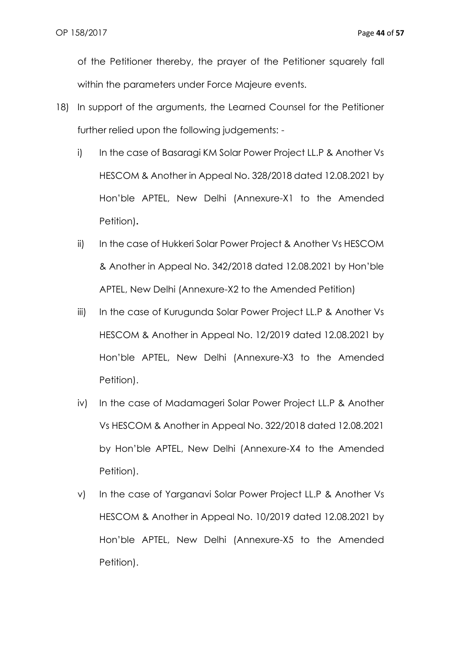of the Petitioner thereby, the prayer of the Petitioner squarely fall within the parameters under Force Majeure events.

- 18) In support of the arguments, the Learned Counsel for the Petitioner further relied upon the following judgements:
	- i) In the case of Basaragi KM Solar Power Project LL.P & Another Vs HESCOM & Another in Appeal No. 328/2018 dated 12.08.2021 by Hon'ble APTEL, New Delhi (Annexure-X1 to the Amended Petition)**.**
	- ii) In the case of Hukkeri Solar Power Project & Another Vs HESCOM & Another in Appeal No. 342/2018 dated 12.08.2021 by Hon'ble APTEL, New Delhi (Annexure-X2 to the Amended Petition)
	- iii) In the case of Kurugunda Solar Power Project LL.P & Another Vs HESCOM & Another in Appeal No. 12/2019 dated 12.08.2021 by Hon'ble APTEL, New Delhi (Annexure-X3 to the Amended Petition).
	- iv) In the case of Madamageri Solar Power Project LL.P & Another Vs HESCOM & Another in Appeal No. 322/2018 dated 12.08.2021 by Hon'ble APTEL, New Delhi (Annexure-X4 to the Amended Petition).
	- v) In the case of Yarganavi Solar Power Project LL.P & Another Vs HESCOM & Another in Appeal No. 10/2019 dated 12.08.2021 by Hon'ble APTEL, New Delhi (Annexure-X5 to the Amended Petition).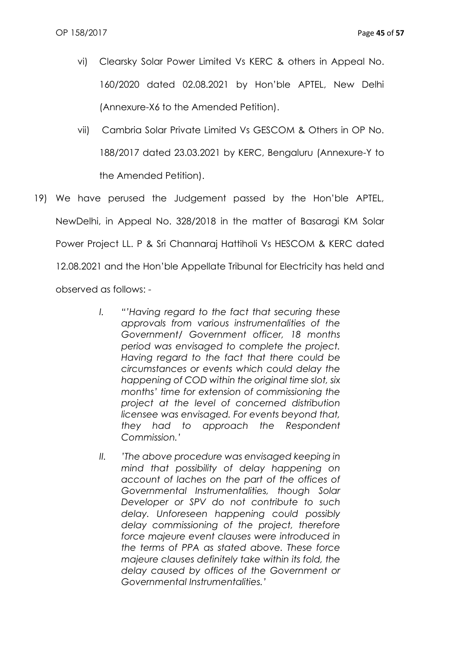- vi) Clearsky Solar Power Limited Vs KERC & others in Appeal No. 160/2020 dated 02.08.2021 by Hon'ble APTEL, New Delhi (Annexure-X6 to the Amended Petition).
- vii) Cambria Solar Private Limited Vs GESCOM & Others in OP No. 188/2017 dated 23.03.2021 by KERC, Bengaluru (Annexure-Y to the Amended Petition).
- 19) We have perused the Judgement passed by the Hon'ble APTEL, NewDelhi, in Appeal No. 328/2018 in the matter of Basaragi KM Solar Power Project LL. P & Sri Channaraj Hattiholi Vs HESCOM & KERC dated 12.08.2021 and the Hon'ble Appellate Tribunal for Electricity has held and observed as follows: -
	- *I. "'Having regard to the fact that securing these approvals from various instrumentalities of the Government/ Government officer, 18 months period was envisaged to complete the project. Having regard to the fact that there could be circumstances or events which could delay the happening of COD within the original time slot, six months' time for extension of commissioning the project at the level of concerned distribution licensee was envisaged. For events beyond that, they had to approach the Respondent Commission.'*
	- *II. 'The above procedure was envisaged keeping in mind that possibility of delay happening on account of laches on the part of the offices of Governmental Instrumentalities, though Solar Developer or SPV do not contribute to such delay. Unforeseen happening could possibly delay commissioning of the project, therefore force majeure event clauses were introduced in the terms of PPA as stated above. These force majeure clauses definitely take within its fold, the delay caused by offices of the Government or Governmental Instrumentalities.'*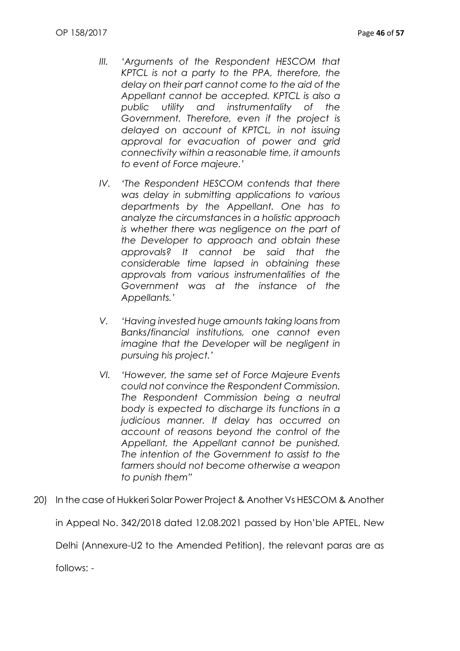- *III. 'Arguments of the Respondent HESCOM that KPTCL is not a party to the PPA, therefore, the delay on their part cannot come to the aid of the Appellant cannot be accepted. KPTCL is also a public utility and instrumentality of the Government. Therefore, even if the project is delayed on account of KPTCL, in not issuing approval for evacuation of power and grid connectivity within a reasonable time, it amounts to event of Force majeure.'*
- *IV. 'The Respondent HESCOM contends that there was delay in submitting applications to various departments by the Appellant. One has to analyze the circumstances in a holistic approach is whether there was negligence on the part of the Developer to approach and obtain these approvals? It cannot be said that the considerable time lapsed in obtaining these approvals from various instrumentalities of the Government was at the instance of the Appellants.'*
- *V. 'Having invested huge amounts taking loans from Banks/financial institutions, one cannot even imagine that the Developer will be negligent in pursuing his project.'*
- *VI. 'However, the same set of Force Majeure Events could not convince the Respondent Commission. The Respondent Commission being a neutral body is expected to discharge its functions in a judicious manner. If delay has occurred on account of reasons beyond the control of the Appellant, the Appellant cannot be punished. The intention of the Government to assist to the farmers should not become otherwise a weapon to punish them"*
- 20) In the case of Hukkeri Solar Power Project & Another Vs HESCOM & Another in Appeal No. 342/2018 dated 12.08.2021 passed by Hon'ble APTEL, New Delhi (Annexure-U2 to the Amended Petition), the relevant paras are as

follows: -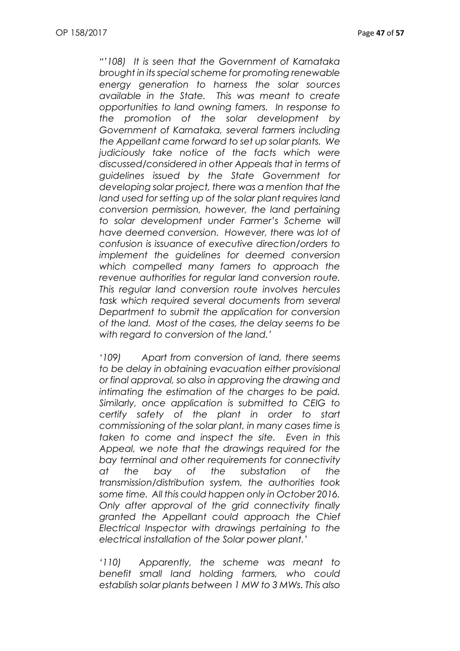*"'108) It is seen that the Government of Karnataka brought in its special scheme for promoting renewable energy generation to harness the solar sources available in the State. This was meant to create opportunities to land owning famers. In response to the promotion of the solar development by Government of Karnataka, several farmers including the Appellant came forward to set up solar plants. We judiciously take notice of the facts which were discussed/considered in other Appeals that in terms of guidelines issued by the State Government for developing solar project, there was a mention that the land used for setting up of the solar plant requires land conversion permission, however, the land pertaining to solar development under Farmer's Scheme will have deemed conversion. However, there was lot of confusion is issuance of executive direction/orders to implement the guidelines for deemed conversion which compelled many famers to approach the revenue authorities for regular land conversion route. This regular land conversion route involves hercules task which required several documents from several Department to submit the application for conversion of the land. Most of the cases, the delay seems to be with regard to conversion of the land.'*

*'109) Apart from conversion of land, there seems to be delay in obtaining evacuation either provisional or final approval, so also in approving the drawing and intimating the estimation of the charges to be paid. Similarly, once application is submitted to CEIG to certify safety of the plant in order to start commissioning of the solar plant, in many cases time is taken to come and inspect the site. Even in this Appeal, we note that the drawings required for the bay terminal and other requirements for connectivity at the bay of the substation of the transmission/distribution system, the authorities took some time. All this could happen only in October 2016. Only after approval of the grid connectivity finally granted the Appellant could approach the Chief Electrical Inspector with drawings pertaining to the electrical installation of the Solar power plant.'*

*'110) Apparently, the scheme was meant to benefit small land holding farmers, who could establish solar plants between 1 MW to 3 MWs. This also*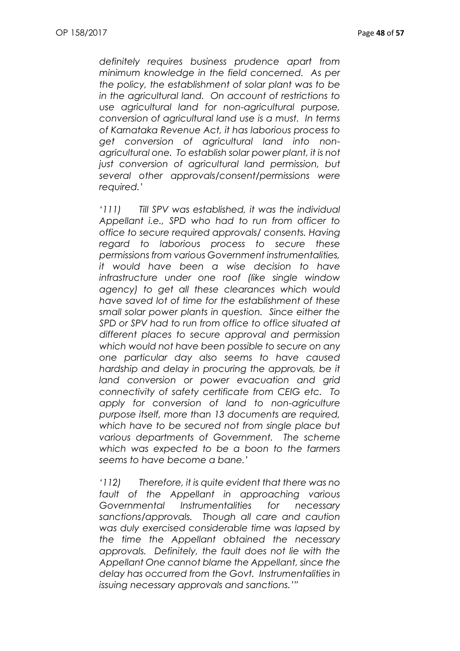*definitely requires business prudence apart from minimum knowledge in the field concerned. As per the policy, the establishment of solar plant was to be in the agricultural land. On account of restrictions to use agricultural land for non-agricultural purpose, conversion of agricultural land use is a must. In terms of Karnataka Revenue Act, it has laborious process to get conversion of agricultural land into nonagricultural one. To establish solar power plant, it is not just conversion of agricultural land permission, but several other approvals/consent/permissions were required.'*

*'111) Till SPV was established, it was the individual Appellant i.e., SPD who had to run from officer to office to secure required approvals/ consents. Having regard to laborious process to secure these permissions from various Government instrumentalities, it would have been a wise decision to have infrastructure under one roof (like single window agency) to get all these clearances which would have saved lot of time for the establishment of these small solar power plants in question. Since either the SPD or SPV had to run from office to office situated at different places to secure approval and permission which would not have been possible to secure on any one particular day also seems to have caused hardship and delay in procuring the approvals, be it land conversion or power evacuation and grid connectivity of safety certificate from CEIG etc. To apply for conversion of land to non-agriculture purpose itself, more than 13 documents are required, which have to be secured not from single place but various departments of Government. The scheme which was expected to be a boon to the farmers seems to have become a bane.'*

*'112) Therefore, it is quite evident that there was no fault of the Appellant in approaching various Governmental Instrumentalities for necessary sanctions/approvals. Though all care and caution was duly exercised considerable time was lapsed by the time the Appellant obtained the necessary approvals. Definitely, the fault does not lie with the Appellant One cannot blame the Appellant, since the delay has occurred from the Govt. Instrumentalities in issuing necessary approvals and sanctions.'"*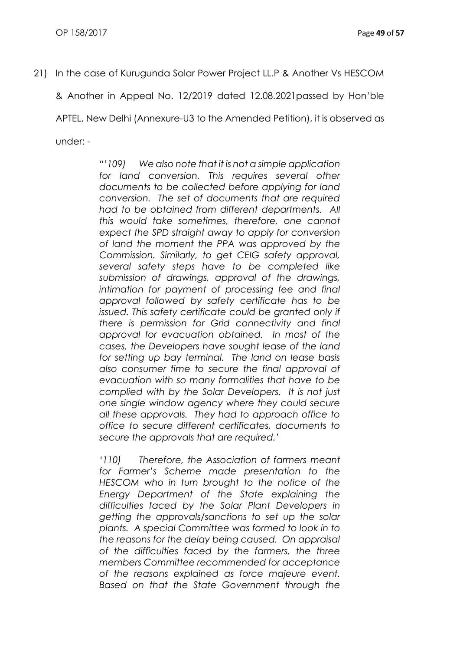21) In the case of Kurugunda Solar Power Project LL.P & Another Vs HESCOM

& Another in Appeal No. 12/2019 dated 12.08.2021passed by Hon'ble

APTEL, New Delhi (Annexure-U3 to the Amended Petition), it is observed as

under: -

*"'109) We also note that it is not a simple application*  for land conversion. This requires several other *documents to be collected before applying for land conversion. The set of documents that are required had to be obtained from different departments. All this would take sometimes, therefore, one cannot expect the SPD straight away to apply for conversion of land the moment the PPA was approved by the Commission. Similarly, to get CEIG safety approval, several safety steps have to be completed like submission of drawings, approval of the drawings, intimation for payment of processing fee and final approval followed by safety certificate has to be issued. This safety certificate could be granted only if there is permission for Grid connectivity and final approval for evacuation obtained. In most of the cases, the Developers have sought lease of the land for setting up bay terminal. The land on lease basis also consumer time to secure the final approval of evacuation with so many formalities that have to be complied with by the Solar Developers. It is not just one single window agency where they could secure all these approvals. They had to approach office to office to secure different certificates, documents to secure the approvals that are required.'*

*'110) Therefore, the Association of farmers meant for Farmer's Scheme made presentation to the HESCOM who in turn brought to the notice of the Energy Department of the State explaining the difficulties faced by the Solar Plant Developers in getting the approvals/sanctions to set up the solar plants. A special Committee was formed to look in to the reasons for the delay being caused. On appraisal of the difficulties faced by the farmers, the three members Committee recommended for acceptance of the reasons explained as force majeure event. Based on that the State Government through the*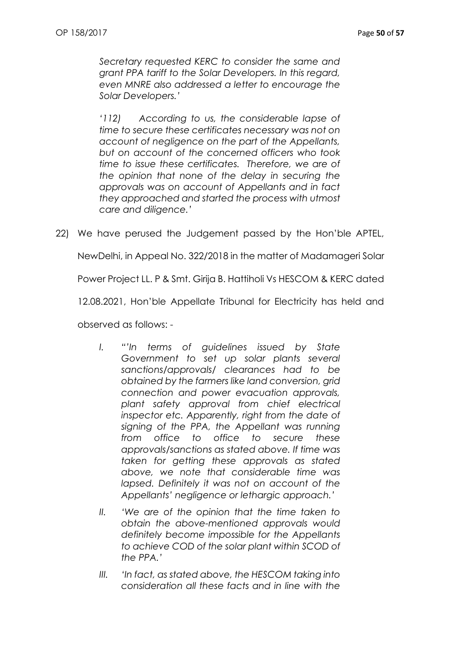*Secretary requested KERC to consider the same and grant PPA tariff to the Solar Developers. In this regard, even MNRE also addressed a letter to encourage the Solar Developers.'*

*'112) According to us, the considerable lapse of time to secure these certificates necessary was not on account of negligence on the part of the Appellants, but on account of the concerned officers who took time to issue these certificates. Therefore, we are of the opinion that none of the delay in securing the approvals was on account of Appellants and in fact they approached and started the process with utmost care and diligence.'*

22) We have perused the Judgement passed by the Hon'ble APTEL,

NewDelhi, in Appeal No. 322/2018 in the matter of Madamageri Solar

Power Project LL. P & Smt. Girija B. Hattiholi Vs HESCOM & KERC dated

12.08.2021, Hon'ble Appellate Tribunal for Electricity has held and

observed as follows: -

- *I. "'In terms of guidelines issued by State Government to set up solar plants several sanctions/approvals/ clearances had to be obtained by the farmers like land conversion, grid connection and power evacuation approvals, plant safety approval from chief electrical inspector etc. Apparently, right from the date of signing of the PPA, the Appellant was running from office to office to secure these approvals/sanctions as stated above. If time was taken for getting these approvals as stated above, we note that considerable time was lapsed. Definitely it was not on account of the Appellants' negligence or lethargic approach.'*
- *II. 'We are of the opinion that the time taken to obtain the above-mentioned approvals would definitely become impossible for the Appellants to achieve COD of the solar plant within SCOD of the PPA.'*
- *III. 'In fact, as stated above, the HESCOM taking into consideration all these facts and in line with the*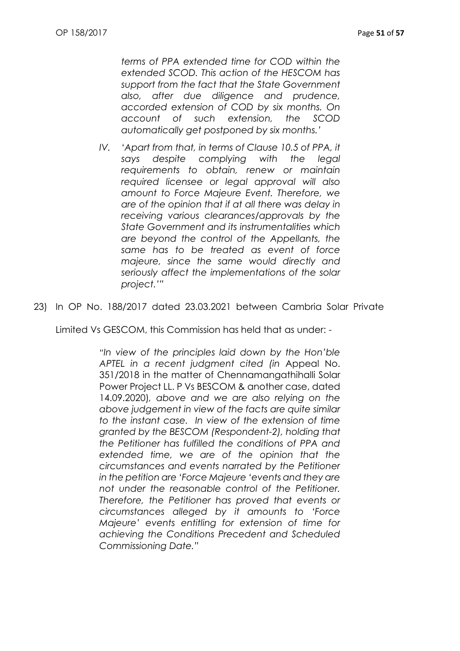*terms of PPA extended time for COD within the extended SCOD. This action of the HESCOM has support from the fact that the State Government also, after due diligence and prudence, accorded extension of COD by six months. On account of such extension, the SCOD automatically get postponed by six months.'*

*IV. 'Apart from that, in terms of Clause 10.5 of PPA, it says despite complying with the legal requirements to obtain, renew or maintain required licensee or legal approval will also amount to Force Majeure Event. Therefore, we are of the opinion that if at all there was delay in receiving various clearances/approvals by the State Government and its instrumentalities which are beyond the control of the Appellants, the same has to be treated as event of force majeure, since the same would directly and seriously affect the implementations of the solar project.'"*

23) In OP No. 188/2017 dated 23.03.2021 between Cambria Solar Private

Limited Vs GESCOM, this Commission has held that as under: -

*"In view of the principles laid down by the Hon'ble APTEL in a recent judgment cited (in* Appeal No. 351/2018 in the matter of Chennamangathihalli Solar Power Project LL. P Vs BESCOM & another case, dated 14.09.2020)*, above and we are also relying on the above judgement in view of the facts are quite similar to the instant case. In view of the extension of time granted by the BESCOM (Respondent-2), holding that the Petitioner has fulfilled the conditions of PPA and extended time, we are of the opinion that the circumstances and events narrated by the Petitioner in the petition are 'Force Majeure 'events and they are not under the reasonable control of the Petitioner. Therefore, the Petitioner has proved that events or circumstances alleged by it amounts to 'Force Majeure' events entitling for extension of time for achieving the Conditions Precedent and Scheduled Commissioning Date."*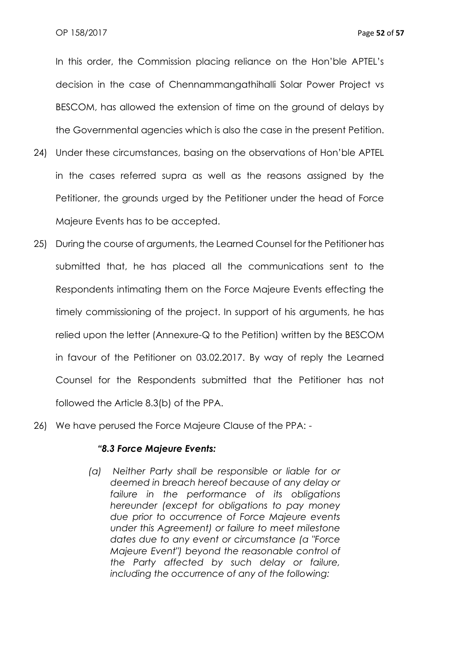In this order, the Commission placing reliance on the Hon'ble APTEL's decision in the case of Chennammangathihalli Solar Power Project vs BESCOM, has allowed the extension of time on the ground of delays by the Governmental agencies which is also the case in the present Petition.

- 24) Under these circumstances, basing on the observations of Hon'ble APTEL in the cases referred supra as well as the reasons assigned by the Petitioner, the grounds urged by the Petitioner under the head of Force Majeure Events has to be accepted.
- 25) During the course of arguments, the Learned Counsel for the Petitioner has submitted that, he has placed all the communications sent to the Respondents intimating them on the Force Majeure Events effecting the timely commissioning of the project. In support of his arguments, he has relied upon the letter (Annexure-Q to the Petition) written by the BESCOM in favour of the Petitioner on 03.02.2017. By way of reply the Learned Counsel for the Respondents submitted that the Petitioner has not followed the Article 8.3(b) of the PPA.
- 26) We have perused the Force Majeure Clause of the PPA: -

#### *"8.3 Force Majeure Events:*

*(a) Neither Party shall be responsible or liable for or deemed in breach hereof because of any delay or failure in the performance of its obligations hereunder (except for obligations to pay money due prior to occurrence of Force Majeure events under this Agreement) or failure to meet milestone dates due to any event or circumstance (a "Force Majeure Event") beyond the reasonable control of the Party affected by such delay or failure, including the occurrence of any of the following:*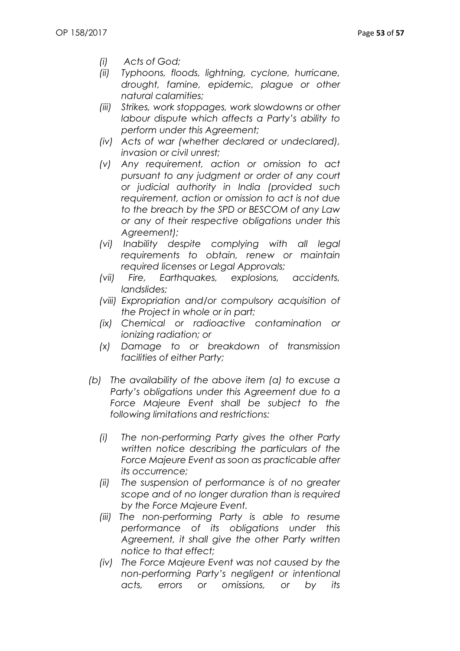- *(i) Acts of God;*
- *(ii) Typhoons, floods, lightning, cyclone, hurricane, drought, famine, epidemic, plague or other natural calamities;*
- *(iii) Strikes, work stoppages, work slowdowns or other labour dispute which affects a Party's ability to perform under this Agreement;*
- *(iv) Acts of war (whether declared or undeclared), invasion or civil unrest;*
- *(v) Any requirement, action or omission to act pursuant to any judgment or order of any court or judicial authority in India (provided such requirement, action or omission to act is not due to the breach by the SPD or BESCOM of any Law or any of their respective obligations under this Agreement);*
- *(vi) Inability despite complying with all legal requirements to obtain, renew or maintain required licenses or Legal Approvals;*
- *(vii) Fire, Earthquakes, explosions, accidents, landslides;*
- *(viii) Expropriation and/or compulsory acquisition of the Project in whole or in part;*
- *(ix) Chemical or radioactive contamination or ionizing radiation; or*
- *(x) Damage to or breakdown of transmission facilities of either Party;*
- *(b) The availability of the above item (a) to excuse a Party's obligations under this Agreement due to a Force Majeure Event shall be subject to the following limitations and restrictions:*
	- *(i) The non-performing Party gives the other Party written notice describing the particulars of the Force Majeure Event as soon as practicable after its occurrence;*
	- *(ii) The suspension of performance is of no greater scope and of no longer duration than is required by the Force Majeure Event.*
	- *(iii) The non-performing Party is able to resume performance of its obligations under this Agreement, it shall give the other Party written notice to that effect;*
	- *(iv) The Force Majeure Event was not caused by the non-performing Party's negligent or intentional acts, errors or omissions, or by its*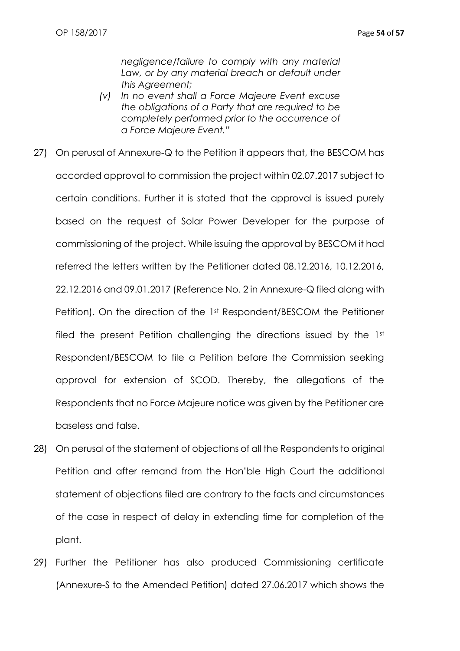*negligence/failure to comply with any material*  Law, or by any material breach or default under *this Agreement;*

- *(v) In no event shall a Force Majeure Event excuse the obligations of a Party that are required to be completely performed prior to the occurrence of a Force Majeure Event."*
- 27) On perusal of Annexure-Q to the Petition it appears that, the BESCOM has accorded approval to commission the project within 02.07.2017 subject to certain conditions. Further it is stated that the approval is issued purely based on the request of Solar Power Developer for the purpose of commissioning of the project. While issuing the approval by BESCOM it had referred the letters written by the Petitioner dated 08.12.2016, 10.12.2016, 22.12.2016 and 09.01.2017 (Reference No. 2 in Annexure-Q filed along with Petition). On the direction of the 1<sup>st</sup> Respondent/BESCOM the Petitioner filed the present Petition challenging the directions issued by the 1st Respondent/BESCOM to file a Petition before the Commission seeking approval for extension of SCOD. Thereby, the allegations of the Respondents that no Force Majeure notice was given by the Petitioner are baseless and false.
- 28) On perusal of the statement of objections of all the Respondents to original Petition and after remand from the Hon'ble High Court the additional statement of objections filed are contrary to the facts and circumstances of the case in respect of delay in extending time for completion of the plant.
- 29) Further the Petitioner has also produced Commissioning certificate (Annexure-S to the Amended Petition) dated 27.06.2017 which shows the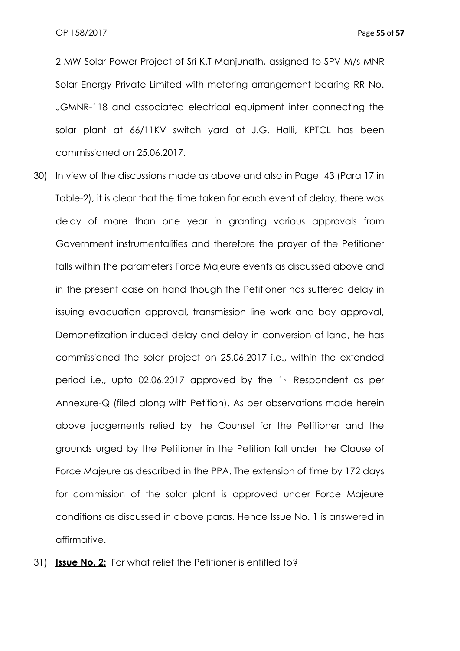2 MW Solar Power Project of Sri K.T Manjunath, assigned to SPV M/s MNR Solar Energy Private Limited with metering arrangement bearing RR No. JGMNR-118 and associated electrical equipment inter connecting the solar plant at 66/11KV switch yard at J.G. Halli, KPTCL has been commissioned on 25.06.2017.

- 30) In view of the discussions made as above and also in Page 43 (Para 17 in Table-2), it is clear that the time taken for each event of delay, there was delay of more than one year in granting various approvals from Government instrumentalities and therefore the prayer of the Petitioner falls within the parameters Force Majeure events as discussed above and in the present case on hand though the Petitioner has suffered delay in issuing evacuation approval, transmission line work and bay approval, Demonetization induced delay and delay in conversion of land, he has commissioned the solar project on 25.06.2017 i.e., within the extended period i.e., upto 02.06.2017 approved by the 1st Respondent as per Annexure-Q (filed along with Petition). As per observations made herein above judgements relied by the Counsel for the Petitioner and the grounds urged by the Petitioner in the Petition fall under the Clause of Force Majeure as described in the PPA. The extension of time by 172 days for commission of the solar plant is approved under Force Majeure conditions as discussed in above paras. Hence Issue No. 1 is answered in affirmative.
- 31) **Issue No. 2:** For what relief the Petitioner is entitled to?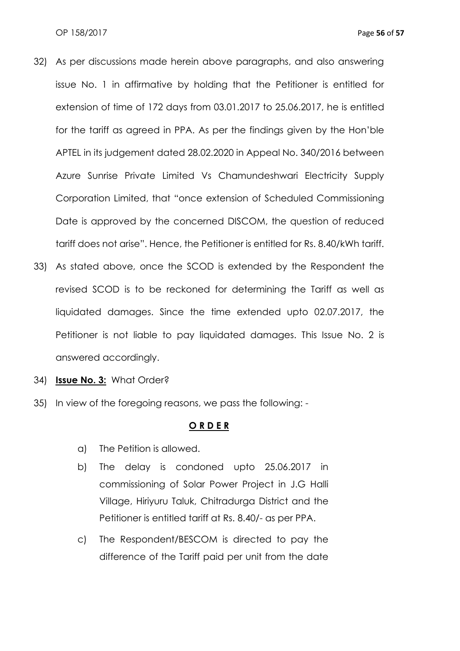- 32) As per discussions made herein above paragraphs, and also answering issue No. 1 in affirmative by holding that the Petitioner is entitled for extension of time of 172 days from 03.01.2017 to 25.06.2017, he is entitled for the tariff as agreed in PPA. As per the findings given by the Hon'ble APTEL in its judgement dated 28.02.2020 in Appeal No. 340/2016 between Azure Sunrise Private Limited Vs Chamundeshwari Electricity Supply Corporation Limited, that "once extension of Scheduled Commissioning Date is approved by the concerned DISCOM, the question of reduced tariff does not arise". Hence, the Petitioner is entitled for Rs. 8.40/kWh tariff.
- 33) As stated above, once the SCOD is extended by the Respondent the revised SCOD is to be reckoned for determining the Tariff as well as liquidated damages. Since the time extended upto 02.07.2017, the Petitioner is not liable to pay liquidated damages. This Issue No. 2 is answered accordingly.
- 34) **Issue No. 3:** What Order?
- 35) In view of the foregoing reasons, we pass the following: -

#### **O R D E R**

- a) The Petition is allowed.
- b) The delay is condoned upto 25.06.2017 in commissioning of Solar Power Project in J.G Halli Village, Hiriyuru Taluk, Chitradurga District and the Petitioner is entitled tariff at Rs. 8.40/- as per PPA.
- c) The Respondent/BESCOM is directed to pay the difference of the Tariff paid per unit from the date